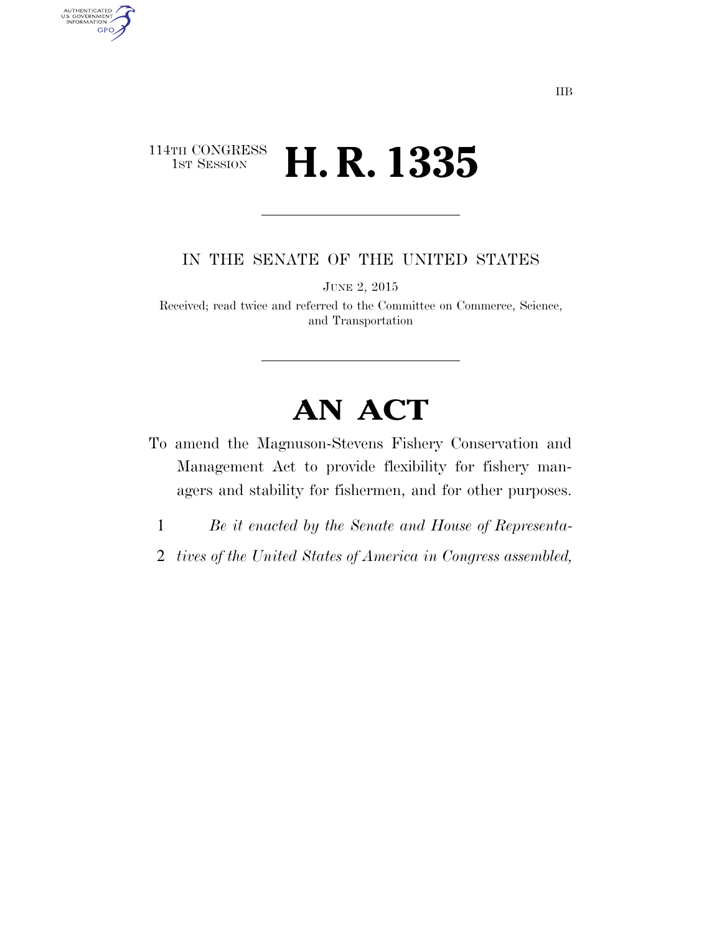### 114TH CONGRESS<br>1st Session **H. R. 1335**

AUTHENTICATED<br>U.S. GOVERNMENT<br>INFORMATION

**GPO** 

IN THE SENATE OF THE UNITED STATES

JUNE 2, 2015

Received; read twice and referred to the Committee on Commerce, Science, and Transportation

# **AN ACT**

- To amend the Magnuson-Stevens Fishery Conservation and Management Act to provide flexibility for fishery managers and stability for fishermen, and for other purposes.
	- 1 *Be it enacted by the Senate and House of Representa-*
- 2 *tives of the United States of America in Congress assembled,*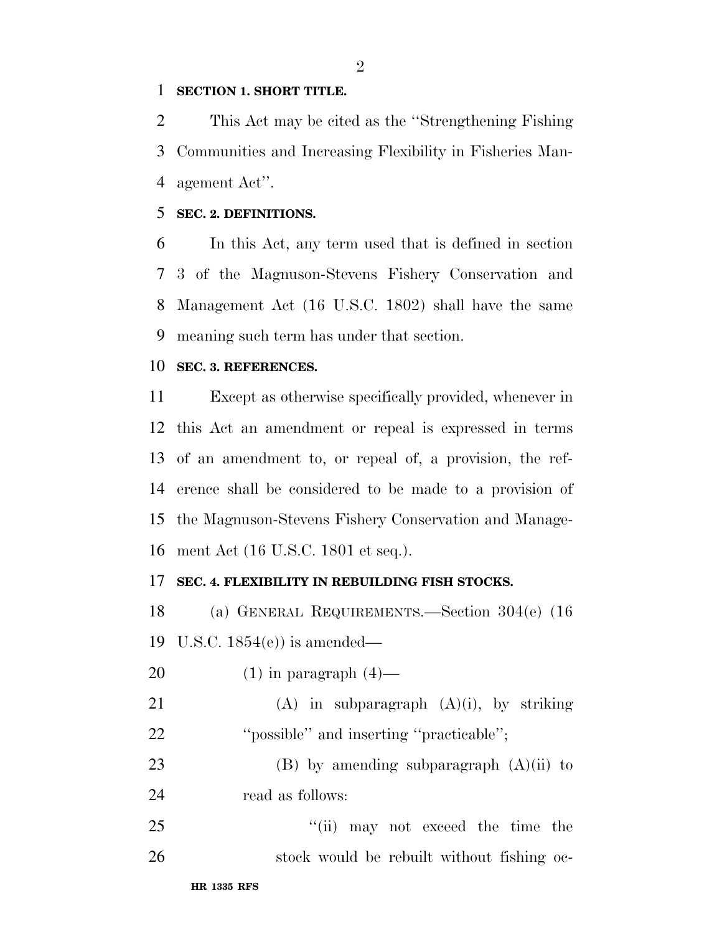#### **SECTION 1. SHORT TITLE.**

 This Act may be cited as the ''Strengthening Fishing Communities and Increasing Flexibility in Fisheries Man-agement Act''.

#### **SEC. 2. DEFINITIONS.**

 In this Act, any term used that is defined in section 3 of the Magnuson-Stevens Fishery Conservation and Management Act (16 U.S.C. 1802) shall have the same meaning such term has under that section.

#### **SEC. 3. REFERENCES.**

 Except as otherwise specifically provided, whenever in this Act an amendment or repeal is expressed in terms of an amendment to, or repeal of, a provision, the ref- erence shall be considered to be made to a provision of the Magnuson-Stevens Fishery Conservation and Manage-ment Act (16 U.S.C. 1801 et seq.).

#### **SEC. 4. FLEXIBILITY IN REBUILDING FISH STOCKS.**

 (a) GENERAL REQUIREMENTS.—Section 304(e) (16 U.S.C. 1854(e)) is amended—

20  $(1)$  in paragraph  $(4)$ —

21 (A) in subparagraph  $(A)(i)$ , by striking ''possible'' and inserting ''practicable'';

23 (B) by amending subparagraph  $(A)(ii)$  to read as follows:

25 ''(ii) may not exceed the time the 26 stock would be rebuilt without fishing oc-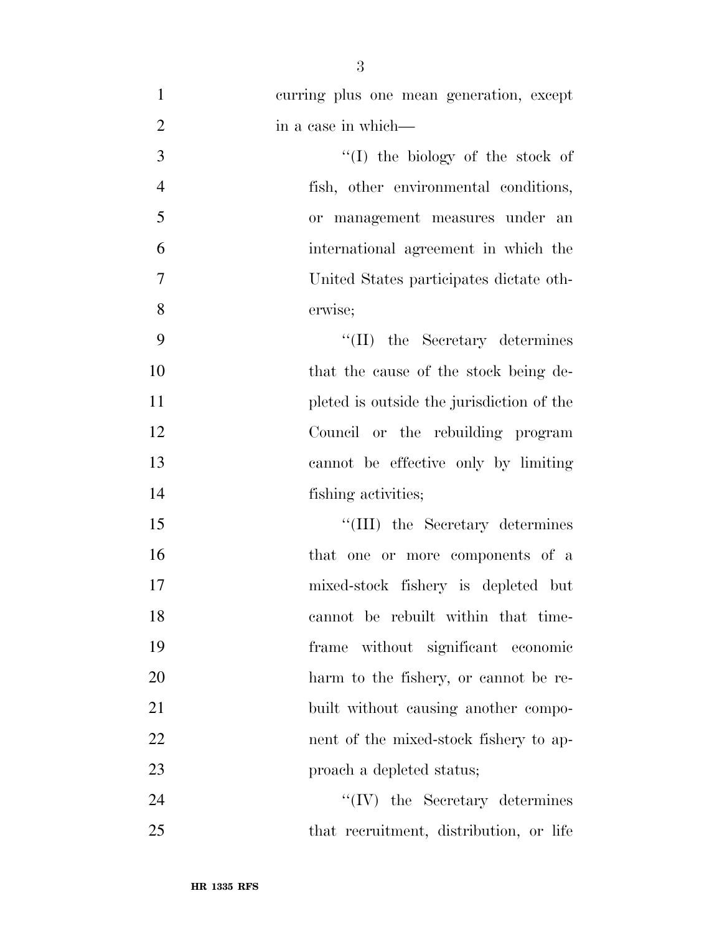| $\mathbf{1}$   | curring plus one mean generation, except  |
|----------------|-------------------------------------------|
| $\overline{2}$ | in a case in which—                       |
| 3              | "(I) the biology of the stock of          |
| $\overline{4}$ | fish, other environmental conditions,     |
| 5              | or management measures under an           |
| 6              | international agreement in which the      |
| $\tau$         | United States participates dictate oth-   |
| 8              | erwise;                                   |
| 9              | "(II) the Secretary determines            |
| 10             | that the cause of the stock being de-     |
| 11             | pleted is outside the jurisdiction of the |
| 12             | Council or the rebuilding program         |
| 13             | cannot be effective only by limiting      |
| 14             | fishing activities;                       |
| 15             | "(III) the Secretary determines           |
| 16             | that one or more components of a          |
| 17             | mixed-stock fishery is depleted but       |
| 18             | cannot be rebuilt within that time-       |
| 19             | without significant economic<br>frame     |
| 20             | harm to the fishery, or cannot be re-     |
| 21             | built without causing another compo-      |
| 22             | nent of the mixed-stock fishery to ap-    |
| 23             | proach a depleted status;                 |
| 24             | $\lq\lq (IV)$ the Secretary determines    |
|                |                                           |

that recruitment, distribution, or life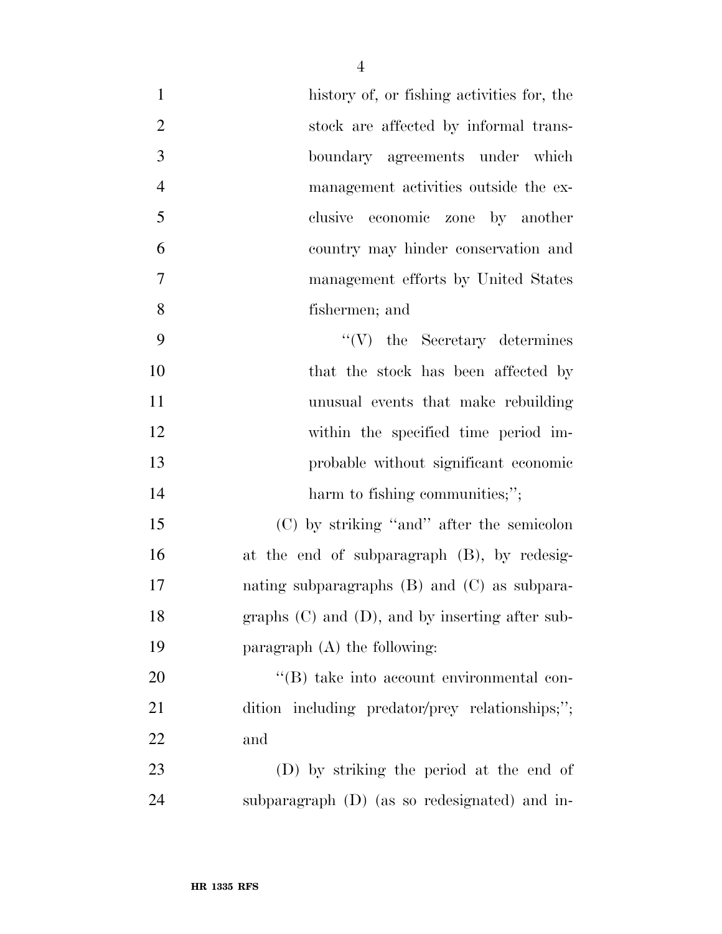| $\mathbf{1}$   | history of, or fishing activities for, the           |
|----------------|------------------------------------------------------|
| $\overline{2}$ | stock are affected by informal trans-                |
| 3              | boundary agreements under which                      |
| $\overline{4}$ | management activities outside the ex-                |
| 5              | economic zone by another<br>clusive                  |
| 6              | country may hinder conservation and                  |
| $\tau$         | management efforts by United States                  |
| 8              | fishermen; and                                       |
| 9              | $\lq\lq(V)$ the Secretary determines                 |
| 10             | that the stock has been affected by                  |
| 11             | unusual events that make rebuilding                  |
| 12             | within the specified time period im-                 |
| 13             | probable without significant economic                |
| 14             | harm to fishing communities;";                       |
| 15             | $(C)$ by striking "and" after the semicolon          |
| 16             | at the end of subparagraph (B), by redesig-          |
| 17             | nating subparagraphs $(B)$ and $(C)$ as subpara-     |
| 18             | graphs $(C)$ and $(D)$ , and by inserting after sub- |
| 19             | paragraph $(A)$ the following:                       |
| 20             | "(B) take into account environmental con-            |
| 21             | dition including predator/prey relationships;";      |
| 22             | and                                                  |
| 23             | (D) by striking the period at the end of             |
| 24             | subparagraph (D) (as so redesignated) and in-        |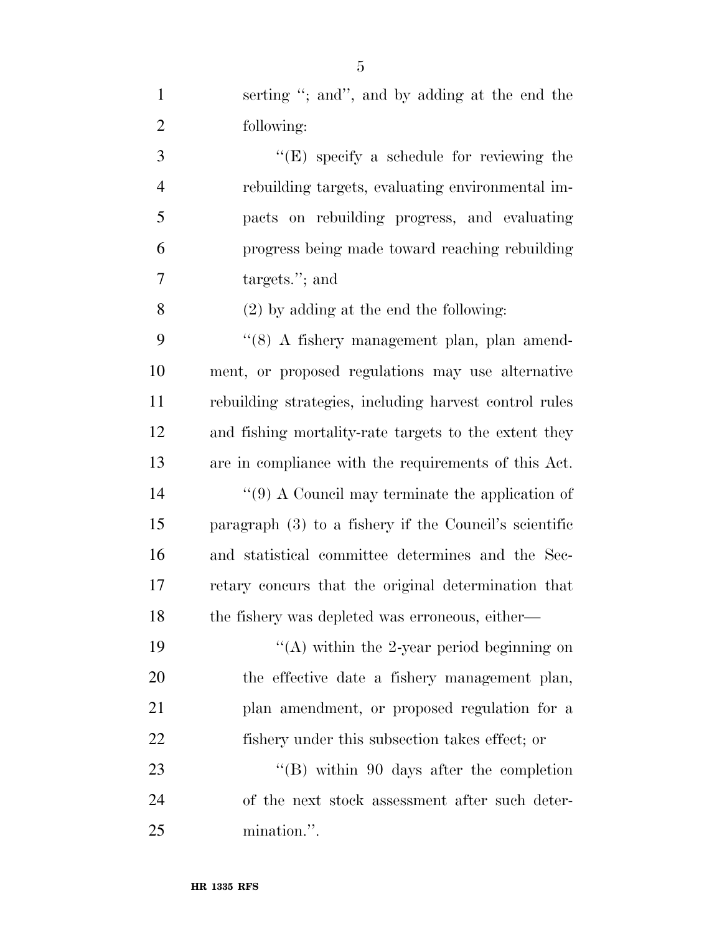| $\mathbf{1}$   | serting "; and", and by adding at the end the            |
|----------------|----------------------------------------------------------|
| $\overline{2}$ | following:                                               |
| 3              | " $(E)$ specify a schedule for reviewing the             |
| $\overline{4}$ | rebuilding targets, evaluating environmental im-         |
| 5              | pacts on rebuilding progress, and evaluating             |
| 6              | progress being made toward reaching rebuilding           |
| 7              | targets."; and                                           |
| 8              | $(2)$ by adding at the end the following:                |
| 9              | "(8) A fishery management plan, plan amend-              |
| 10             | ment, or proposed regulations may use alternative        |
| 11             | rebuilding strategies, including harvest control rules   |
| 12             | and fishing mortality-rate targets to the extent they    |
| 13             | are in compliance with the requirements of this Act.     |
| 14             | $\lq(9)$ A Council may terminate the application of      |
| 15             | paragraph $(3)$ to a fishery if the Council's scientific |
| 16             | and statistical committee determines and the Sec-        |
| $17\,$         | retary concurs that the original determination that      |
| 18             | the fishery was depleted was erroneous, either—          |
| 19             | "(A) within the 2-year period beginning on               |
| 20             | the effective date a fishery management plan,            |
| 21             | plan amendment, or proposed regulation for a             |
| 22             | fishery under this subsection takes effect; or           |
| 23             | "(B) within 90 days after the completion                 |
| 24             | of the next stock assessment after such deter-           |
| 25             | mination.".                                              |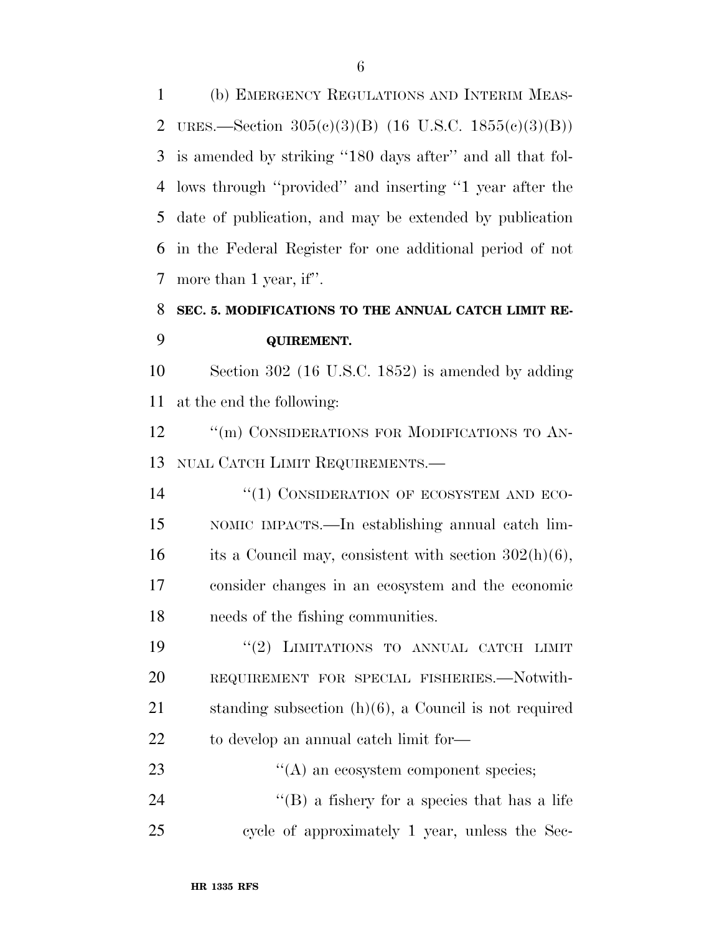(b) EMERGENCY REGULATIONS AND INTERIM MEAS- URES.—Section 305(c)(3)(B) (16 U.S.C. 1855(c)(3)(B)) is amended by striking ''180 days after'' and all that fol- lows through ''provided'' and inserting ''1 year after the date of publication, and may be extended by publication in the Federal Register for one additional period of not more than 1 year, if''.

## **SEC. 5. MODIFICATIONS TO THE ANNUAL CATCH LIMIT RE-QUIREMENT.**

 Section 302 (16 U.S.C. 1852) is amended by adding at the end the following:

12 ""(m) CONSIDERATIONS FOR MODIFICATIONS TO AN-NUAL CATCH LIMIT REQUIREMENTS.—

14 "(1) CONSIDERATION OF ECOSYSTEM AND ECO- NOMIC IMPACTS.—In establishing annual catch lim-16 its a Council may, consistent with section  $302(h)(6)$ , consider changes in an ecosystem and the economic needs of the fishing communities.

 $(2)$  LIMITATIONS TO ANNUAL CATCH LIMIT REQUIREMENT FOR SPECIAL FISHERIES.—Notwith- standing subsection (h)(6), a Council is not required to develop an annual catch limit for—

23  $\bullet$  (A) an ecosystem component species; ''(B) a fishery for a species that has a life cycle of approximately 1 year, unless the Sec-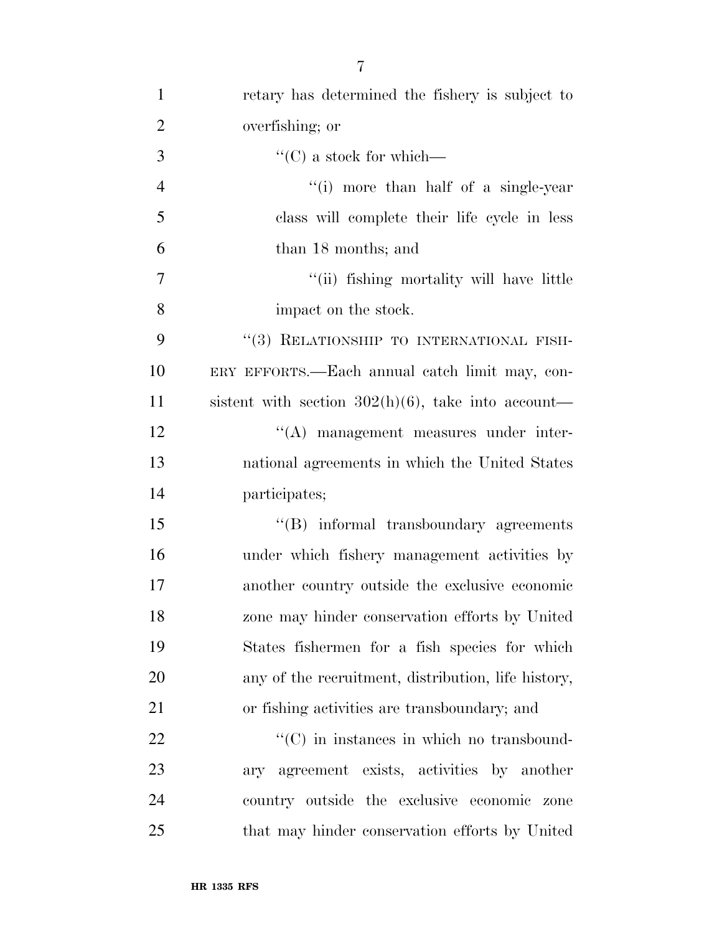| $\mathbf{1}$   | retary has determined the fishery is subject to       |
|----------------|-------------------------------------------------------|
| $\overline{2}$ | overfishing; or                                       |
| 3              | $\lq\lq$ (C) a stock for which—                       |
| $\overline{4}$ | "(i) more than half of a single-year                  |
| 5              | class will complete their life cycle in less          |
| 6              | than 18 months; and                                   |
| $\overline{7}$ | "(ii) fishing mortality will have little              |
| 8              | impact on the stock.                                  |
| 9              | "(3) RELATIONSHIP TO INTERNATIONAL FISH-              |
| 10             | ERY EFFORTS.—Each annual catch limit may, con-        |
| 11             | sistent with section $302(h)(6)$ , take into account— |
| 12             | "(A) management measures under inter-                 |
| 13             | national agreements in which the United States        |
| 14             | participates;                                         |
| 15             | "(B) informal transboundary agreements                |
| 16             | under which fishery management activities by          |
| 17             | another country outside the exclusive economic        |
| 18             | zone may hinder conservation efforts by United        |
| 19             | States fishermen for a fish species for which         |
| 20             | any of the recruitment, distribution, life history,   |
| 21             | or fishing activities are transboundary; and          |
| 22             | $\lq\lq$ (C) in instances in which no transbound-     |
| 23             | ary agreement exists, activities by another           |
| 24             | country outside the exclusive economic zone           |
| 25             | that may hinder conservation efforts by United        |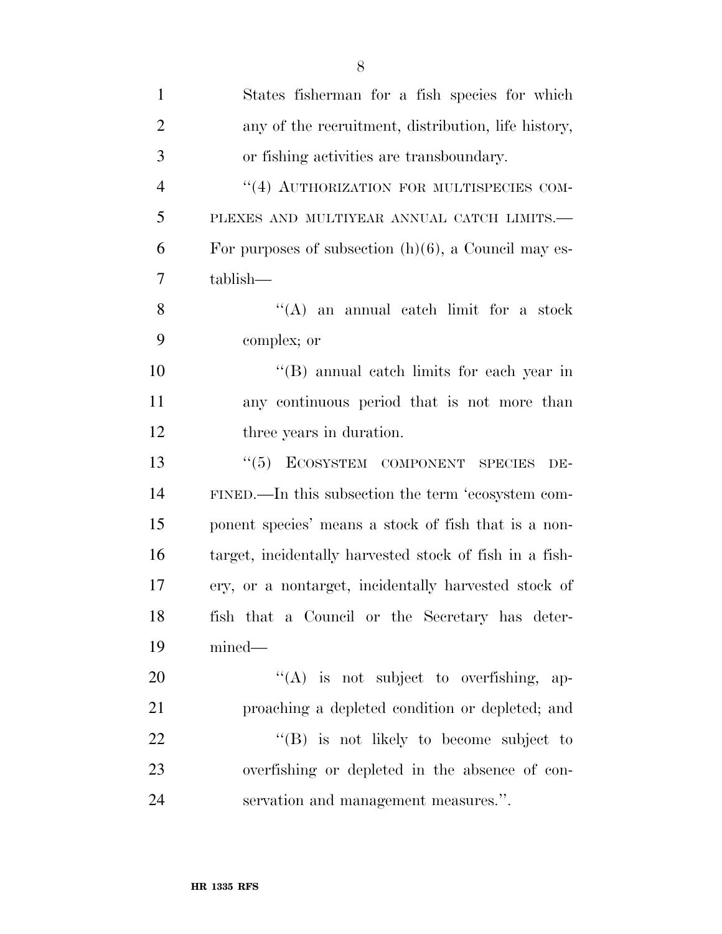| $\mathbf{1}$   | States fisherman for a fish species for which           |
|----------------|---------------------------------------------------------|
| $\overline{2}$ | any of the recruitment, distribution, life history,     |
| 3              | or fishing activities are transboundary.                |
| $\overline{4}$ | "(4) AUTHORIZATION FOR MULTISPECIES COM-                |
| 5              | PLEXES AND MULTIYEAR ANNUAL CATCH LIMITS.-              |
| 6              | For purposes of subsection $(h)(6)$ , a Council may es- |
| 7              | tablish—                                                |
| 8              | $\lq\lq$ and annual catch limit for a stock             |
| 9              | complex; or                                             |
| 10             | "(B) annual catch limits for each year in               |
| 11             | any continuous period that is not more than             |
| 12             | three years in duration.                                |
| 13             | "(5) ECOSYSTEM COMPONENT SPECIES<br>DE-                 |
| 14             | FINED.—In this subsection the term 'ecosystem com-      |
| 15             | ponent species' means a stock of fish that is a non-    |
| 16             | target, incidentally harvested stock of fish in a fish- |
| 17             | ery, or a nontarget, incidentally harvested stock of    |
| 18             | fish that a Council or the Secretary has deter-         |
| 19             | $mined$ —                                               |
| 20             | $\lq\lq$ is not subject to overfishing, ap-             |
| 21             | proaching a depleted condition or depleted; and         |
| 22             | "(B) is not likely to become subject to                 |
| 23             | overfishing or depleted in the absence of con-          |
| 24             | servation and management measures.".                    |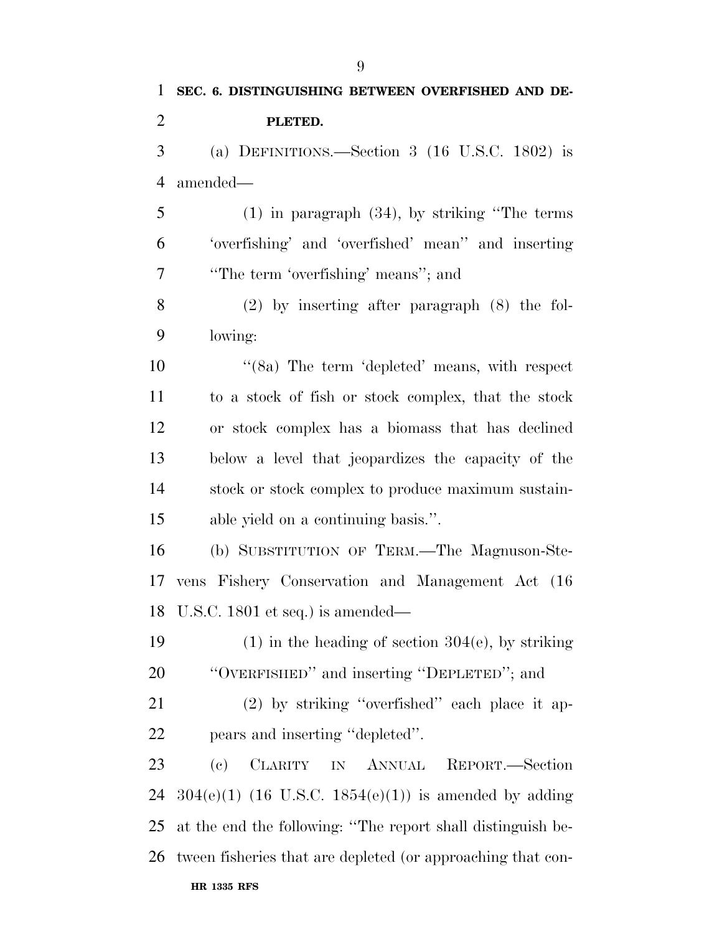**PLETED.**  (a) DEFINITIONS.—Section 3 (16 U.S.C. 1802) is amended— (1) in paragraph (34), by striking ''The terms 'overfishing' and 'overfished' mean'' and inserting ''The term 'overfishing' means''; and (2) by inserting after paragraph (8) the fol-

lowing:

10 ''(8a) The term 'depleted' means, with respect to a stock of fish or stock complex, that the stock or stock complex has a biomass that has declined below a level that jeopardizes the capacity of the stock or stock complex to produce maximum sustain-able yield on a continuing basis.''.

 (b) SUBSTITUTION OF TERM.—The Magnuson-Ste- vens Fishery Conservation and Management Act (16 U.S.C. 1801 et seq.) is amended—

19 (1) in the heading of section  $304(e)$ , by striking ''OVERFISHED'' and inserting ''DEPLETED''; and

 (2) by striking ''overfished'' each place it ap-pears and inserting ''depleted''.

**HR 1335 RFS**  (c) CLARITY IN ANNUAL REPORT.—Section  $304(e)(1)$  (16 U.S.C. 1854(e)(1)) is amended by adding at the end the following: ''The report shall distinguish be-tween fisheries that are depleted (or approaching that con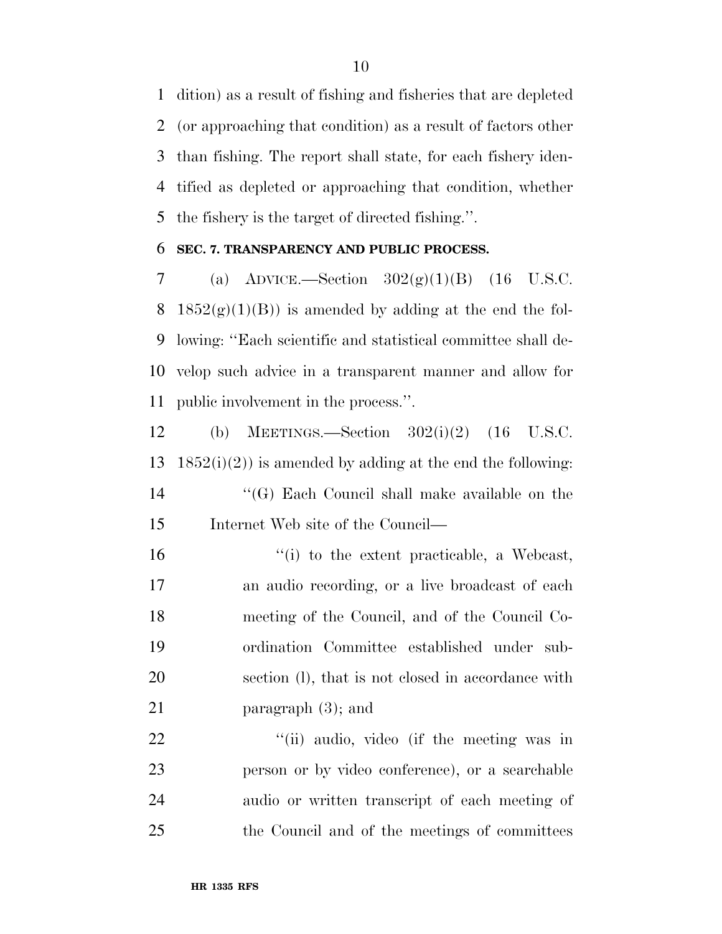dition) as a result of fishing and fisheries that are depleted (or approaching that condition) as a result of factors other than fishing. The report shall state, for each fishery iden- tified as depleted or approaching that condition, whether the fishery is the target of directed fishing.''.

#### **SEC. 7. TRANSPARENCY AND PUBLIC PROCESS.**

7 (a) ADVICE.—Section  $302(g)(1)(B)$  (16 U.S.C. 8 1852 $(g)(1)(B)$  is amended by adding at the end the fol- lowing: ''Each scientific and statistical committee shall de- velop such advice in a transparent manner and allow for public involvement in the process.''.

 (b) MEETINGS.—Section 302(i)(2) (16 U.S.C.  $1852(i)(2)$  is amended by adding at the end the following: ''(G) Each Council shall make available on the Internet Web site of the Council—

 ''(i) to the extent practicable, a Webcast, an audio recording, or a live broadcast of each meeting of the Council, and of the Council Co- ordination Committee established under sub- section (l), that is not closed in accordance with 21 paragraph (3); and

22 "'(ii) audio, video (if the meeting was in person or by video conference), or a searchable audio or written transcript of each meeting of the Council and of the meetings of committees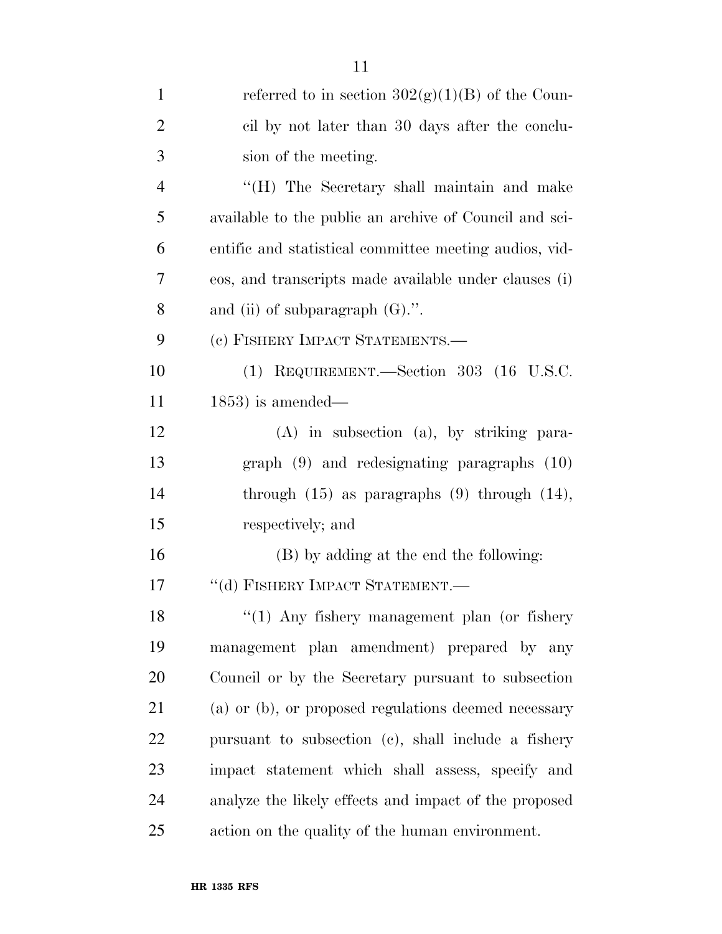| $\mathbf{1}$   | referred to in section $302(g)(1)(B)$ of the Coun-     |
|----------------|--------------------------------------------------------|
| $\overline{2}$ | cil by not later than 30 days after the conclu-        |
| 3              | sion of the meeting.                                   |
| 4              | "(H) The Secretary shall maintain and make             |
| 5              | available to the public an archive of Council and sci- |
| 6              | entific and statistical committee meeting audios, vid- |
| 7              | eos, and transcripts made available under clauses (i)  |
| 8              | and (ii) of subparagraph $(G)$ .".                     |
| 9              | (c) FISHERY IMPACT STATEMENTS.—                        |
| 10             | (1) REQUIREMENT.—Section 303 (16 U.S.C.                |
| 11             | $(1853)$ is amended—                                   |
| 12             | $(A)$ in subsection $(a)$ , by striking para-          |
| 13             | graph $(9)$ and redesignating paragraphs $(10)$        |
| 14             | through $(15)$ as paragraphs $(9)$ through $(14)$ ,    |
| 15             | respectively; and                                      |
| 16             | (B) by adding at the end the following:                |
| 17             | "(d) FISHERY IMPACT STATEMENT.-                        |
| 18             | "(1) Any fishery management plan (or fishery           |
| 19             | management plan amendment) prepared by any             |
| 20             | Council or by the Secretary pursuant to subsection     |
| 21             | (a) or (b), or proposed regulations deemed necessary   |
| 22             | pursuant to subsection (c), shall include a fishery    |
| 23             | impact statement which shall assess, specify and       |
| 24             | analyze the likely effects and impact of the proposed  |
| 25             | action on the quality of the human environment.        |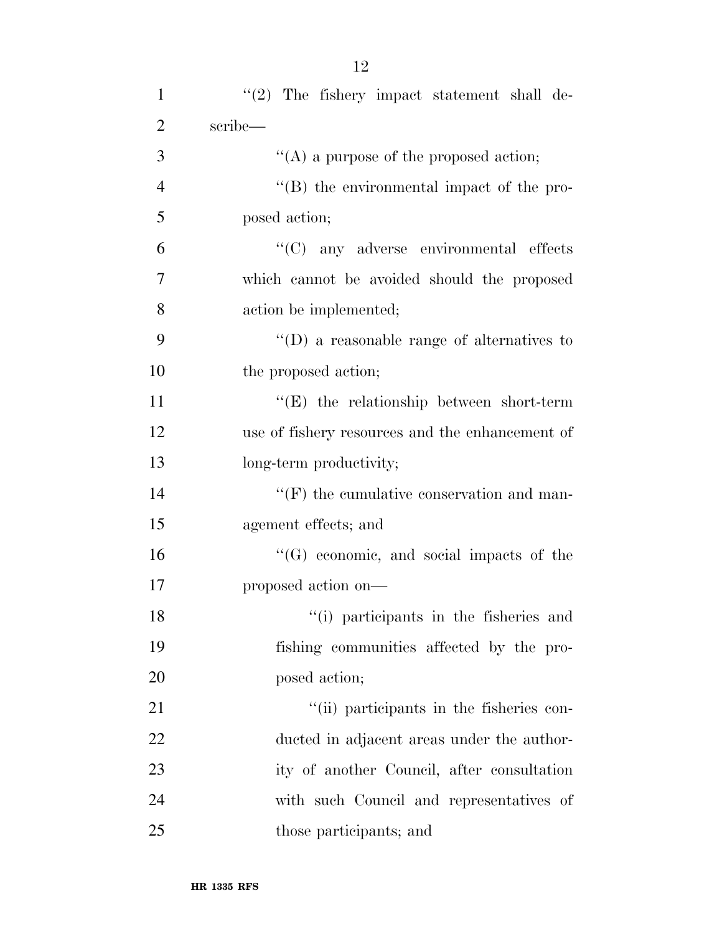| $\mathbf{1}$   | $\lq(2)$ The fishery impact statement shall de-  |
|----------------|--------------------------------------------------|
| $\overline{2}$ | scribe—                                          |
| 3              | "(A) a purpose of the proposed action;           |
| $\overline{4}$ | "(B) the environmental impact of the pro-        |
| 5              | posed action;                                    |
| 6              | $\lq\lq$ (C) any adverse environmental effects   |
| 7              | which cannot be avoided should the proposed      |
| 8              | action be implemented;                           |
| 9              | $\lq\lq$ a reasonable range of alternatives to   |
| 10             | the proposed action;                             |
| 11             | $\lq\lq(E)$ the relationship between short-term  |
| 12             | use of fishery resources and the enhancement of  |
| 13             | long-term productivity;                          |
| 14             | $\lq\lq(F)$ the cumulative conservation and man- |
| 15             | agement effects; and                             |
| 16             | $\lq\lq(G)$ economic, and social impacts of the  |
| 17             | proposed action on—                              |
| 18             | "(i) participants in the fisheries and           |
| 19             | fishing communities affected by the pro-         |
| 20             | posed action;                                    |
| 21             | "(ii) participants in the fisheries con-         |
| 22             | ducted in adjacent areas under the author-       |
| 23             | ity of another Council, after consultation       |
| 24             | with such Council and representatives of         |
| 25             | those participants; and                          |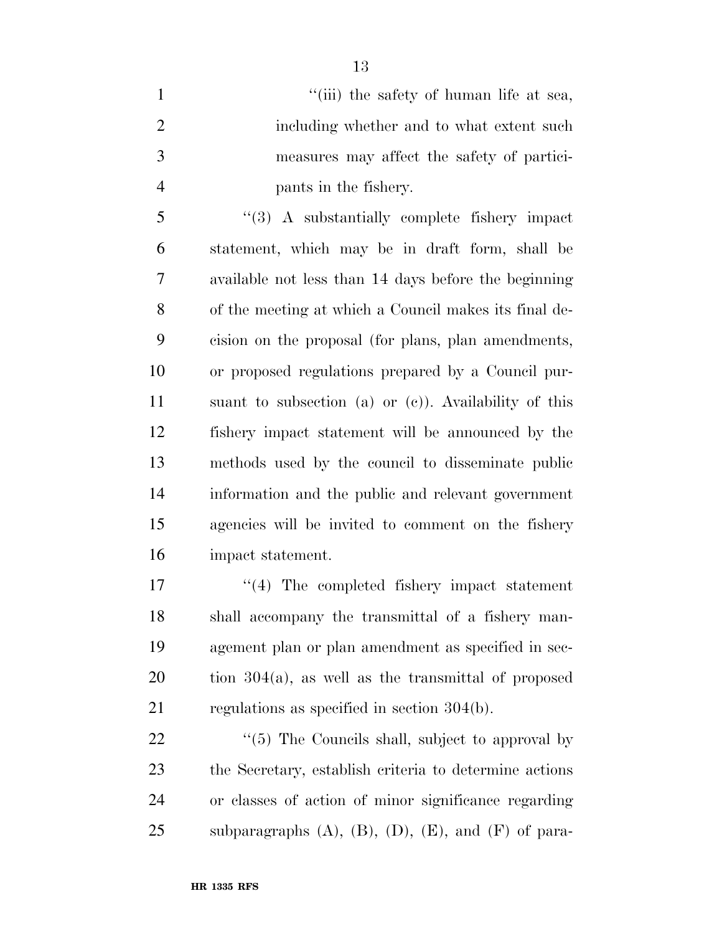1 ''(iii) the safety of human life at sea, including whether and to what extent such measures may affect the safety of partici-pants in the fishery.

 ''(3) A substantially complete fishery impact statement, which may be in draft form, shall be available not less than 14 days before the beginning of the meeting at which a Council makes its final de- cision on the proposal (for plans, plan amendments, or proposed regulations prepared by a Council pur- suant to subsection (a) or (c)). Availability of this fishery impact statement will be announced by the methods used by the council to disseminate public information and the public and relevant government agencies will be invited to comment on the fishery impact statement.

 $\frac{1}{4}$  The completed fishery impact statement shall accompany the transmittal of a fishery man- agement plan or plan amendment as specified in sec- tion 304(a), as well as the transmittal of proposed regulations as specified in section 304(b).

 $\frac{4}{5}$  The Councils shall, subject to approval by the Secretary, establish criteria to determine actions or classes of action of minor significance regarding 25 subparagraphs  $(A)$ ,  $(B)$ ,  $(D)$ ,  $(E)$ , and  $(F)$  of para-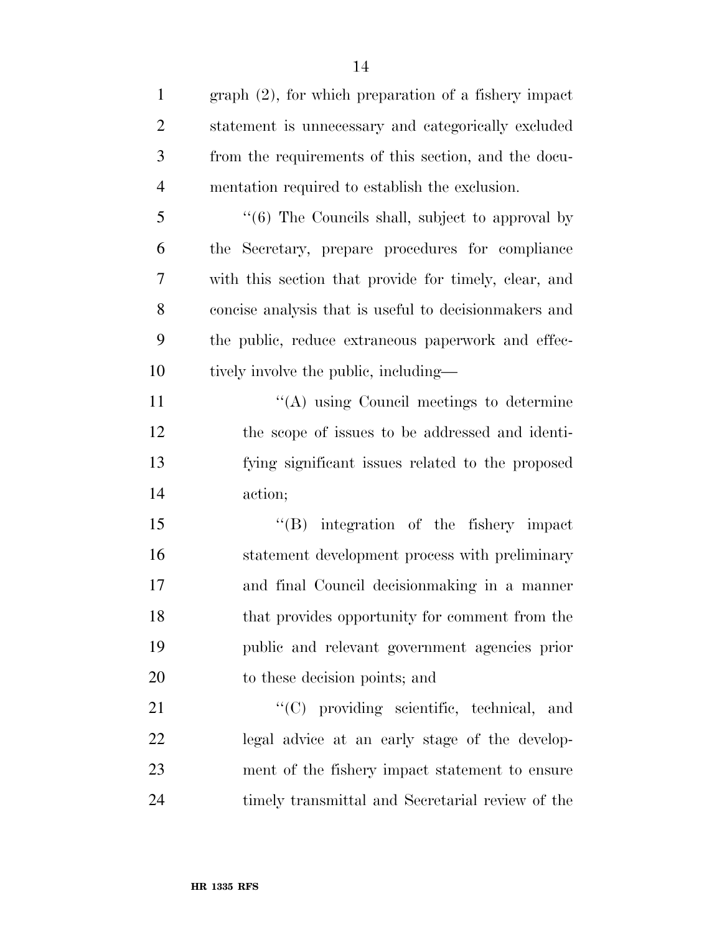| $\mathbf{1}$   | $graph (2)$ , for which preparation of a fishery impact     |
|----------------|-------------------------------------------------------------|
| $\overline{2}$ | statement is unnecessary and categorically excluded         |
| 3              | from the requirements of this section, and the docu-        |
| $\overline{4}$ | mentation required to establish the exclusion.              |
| 5              | $\cdot\cdot$ (6) The Councils shall, subject to approval by |
| 6              | the Secretary, prepare procedures for compliance            |
| 7              | with this section that provide for timely, clear, and       |
| 8              | concise analysis that is useful to decision makers and      |
| 9              | the public, reduce extraneous paperwork and effec-          |
| 10             | tively involve the public, including—                       |
| 11             | "(A) using Council meetings to determine                    |
| 12             | the scope of issues to be addressed and identi-             |
| 13             | fying significant issues related to the proposed            |
| 14             | action;                                                     |
| 15             | "(B) integration of the fishery impact                      |
| 16             | statement development process with preliminary              |
| 17             | and final Council decision making in a manner               |
| 18             | that provides opportunity for comment from the              |
| 19             | public and relevant government agencies prior               |
| <b>20</b>      | to these decision points; and                               |
| 21             | "(C) providing scientific, technical, and                   |
| 22             | legal advice at an early stage of the develop-              |
| 23             | ment of the fishery impact statement to ensure              |
| 24             | timely transmittal and Secretarial review of the            |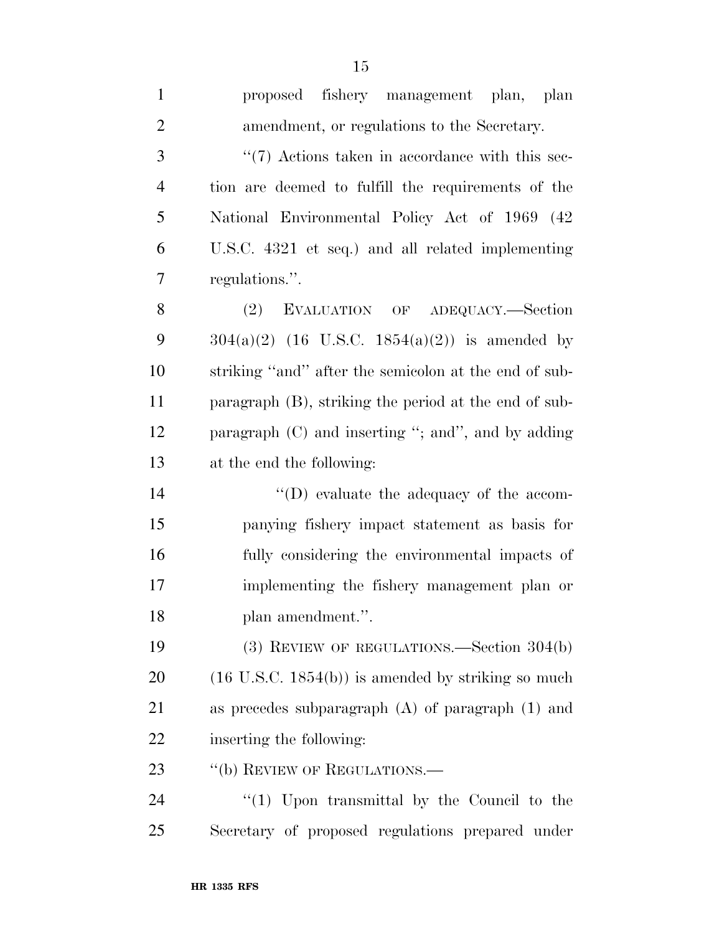proposed fishery management plan, plan amendment, or regulations to the Secretary. 3 ''(7) Actions taken in accordance with this sec- tion are deemed to fulfill the requirements of the National Environmental Policy Act of 1969 (42 U.S.C. 4321 et seq.) and all related implementing regulations.''. 8 (2) EVALUATION OF ADEQUACY.—Section  $304(a)(2)$  (16 U.S.C. 1854(a)(2)) is amended by striking ''and'' after the semicolon at the end of sub- paragraph (B), striking the period at the end of sub- paragraph (C) and inserting ''; and'', and by adding at the end the following:  $\langle \text{`}(D) \rangle$  evaluate the adequacy of the accom- panying fishery impact statement as basis for fully considering the environmental impacts of implementing the fishery management plan or plan amendment.''. (3) REVIEW OF REGULATIONS.—Section 304(b) (16 U.S.C. 1854(b)) is amended by striking so much as precedes subparagraph (A) of paragraph (1) and inserting the following: 23 "(b) REVIEW OF REGULATIONS.—

  $(1)$  Upon transmittal by the Council to the Secretary of proposed regulations prepared under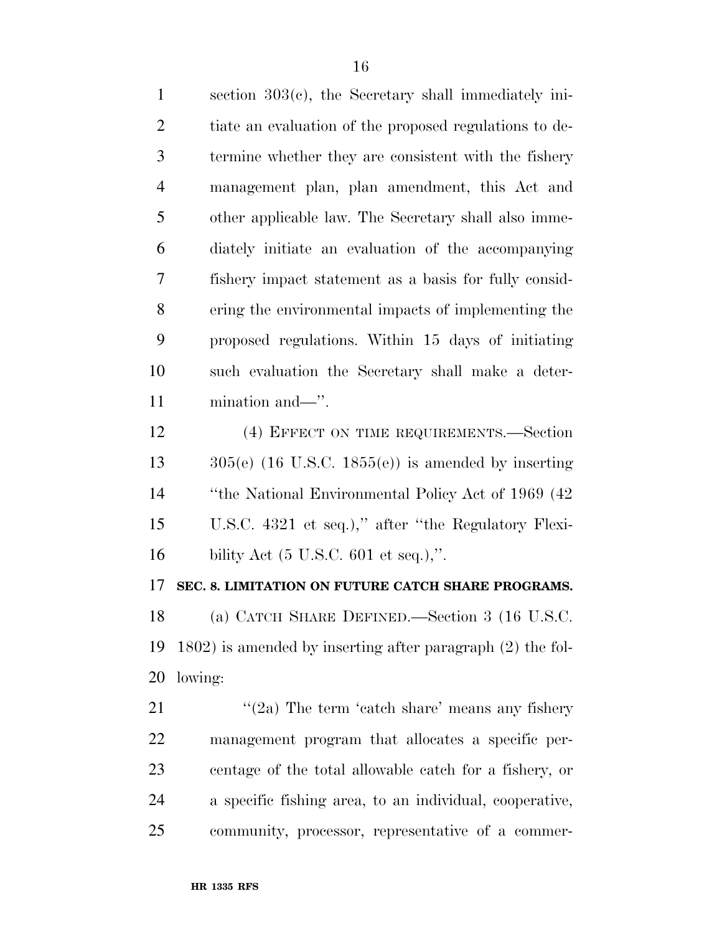section 303(c), the Secretary shall immediately ini- tiate an evaluation of the proposed regulations to de- termine whether they are consistent with the fishery management plan, plan amendment, this Act and other applicable law. The Secretary shall also imme- diately initiate an evaluation of the accompanying fishery impact statement as a basis for fully consid- ering the environmental impacts of implementing the proposed regulations. Within 15 days of initiating such evaluation the Secretary shall make a deter-mination and—''.

 (4) EFFECT ON TIME REQUIREMENTS.—Section  $305(e)$  (16 U.S.C. 1855(e)) is amended by inserting ''the National Environmental Policy Act of 1969 (42 U.S.C. 4321 et seq.),'' after ''the Regulatory Flexi-bility Act (5 U.S.C. 601 et seq.),''.

#### **SEC. 8. LIMITATION ON FUTURE CATCH SHARE PROGRAMS.**

 (a) CATCH SHARE DEFINED.—Section 3 (16 U.S.C. 1802) is amended by inserting after paragraph (2) the fol-lowing:

 ''(2a) The term 'catch share' means any fishery management program that allocates a specific per- centage of the total allowable catch for a fishery, or a specific fishing area, to an individual, cooperative, community, processor, representative of a commer-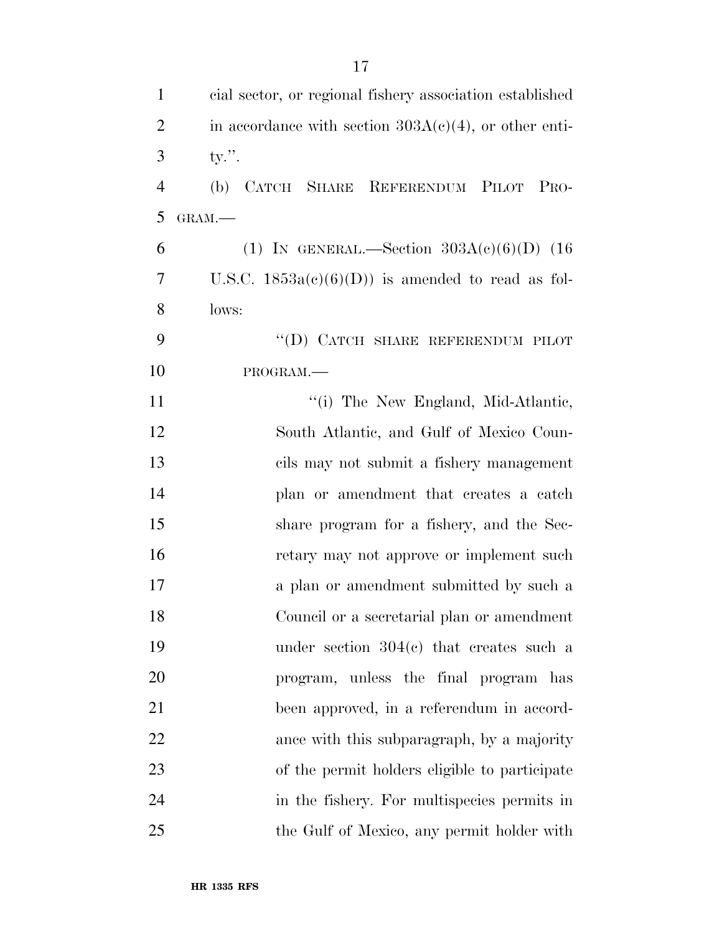| $\mathbf{1}$   | cial sector, or regional fishery association established |
|----------------|----------------------------------------------------------|
| $\overline{2}$ | in accordance with section $303A(c)(4)$ , or other enti- |
| 3              | $ty$ .".                                                 |
| $\overline{4}$ | CATCH SHARE REFERENDUM PILOT PRO-<br>(b)                 |
| 5              | GRAM.-                                                   |
| 6              | (1) IN GENERAL.—Section $303A(c)(6)(D)$ (16              |
| 7              | U.S.C. $1853a(c)(6)(D)$ is amended to read as fol-       |
| 8              | lows:                                                    |
| 9              | "(D) CATCH SHARE REFERENDUM PILOT                        |
| 10             | PROGRAM.                                                 |
| 11             | "(i) The New England, Mid-Atlantic,                      |
| 12             | South Atlantic, and Gulf of Mexico Coun-                 |
| 13             | cils may not submit a fishery management                 |
| 14             | plan or amendment that creates a catch                   |
| 15             | share program for a fishery, and the Sec-                |
| 16             | retary may not approve or implement such                 |
| 17             | a plan or amendment submitted by such a                  |
| 18             | Council or a secretarial plan or amendment               |
| 19             | under section $304(c)$ that creates such a               |
| 20             | program, unless the final program has                    |
| 21             | been approved, in a referendum in accord-                |
| 22             | ance with this subparagraph, by a majority               |
| 23             | of the permit holders eligible to participate            |
| 24             | in the fishery. For multispecies permits in              |
| 25             | the Gulf of Mexico, any permit holder with               |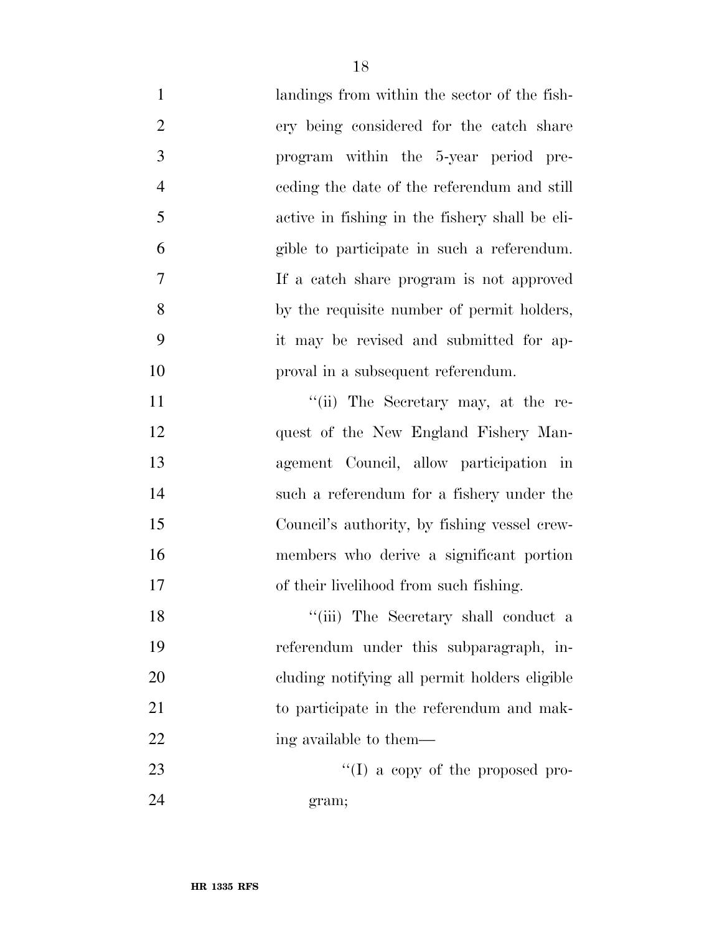| $\mathbf{1}$   | landings from within the sector of the fish-   |
|----------------|------------------------------------------------|
| $\overline{2}$ | ery being considered for the catch share       |
| 3              | program within the 5-year period pre-          |
| $\overline{4}$ | eeding the date of the referendum and still    |
| 5              | active in fishing in the fishery shall be eli- |
| 6              | gible to participate in such a referendum.     |
| 7              | If a catch share program is not approved       |
| 8              | by the requisite number of permit holders,     |
| 9              | it may be revised and submitted for ap-        |
| 10             | proval in a subsequent referendum.             |
| 11             | "(ii) The Secretary may, at the re-            |
| 12             | quest of the New England Fishery Man-          |
| 13             | agement Council, allow participation in        |
| 14             | such a referendum for a fishery under the      |
| 15             | Council's authority, by fishing vessel crew-   |
| 16             | members who derive a significant portion       |
| 17             | of their livelihood from such fishing.         |
| 18             | "(iii) The Secretary shall conduct a           |
| 19             | referendum under this subparagraph, in-        |
| 20             | cluding notifying all permit holders eligible  |
| 21             | to participate in the referendum and mak-      |
| 22             | ing available to them—                         |
| 23             | "(I) a copy of the proposed pro-               |
| 24             | gram;                                          |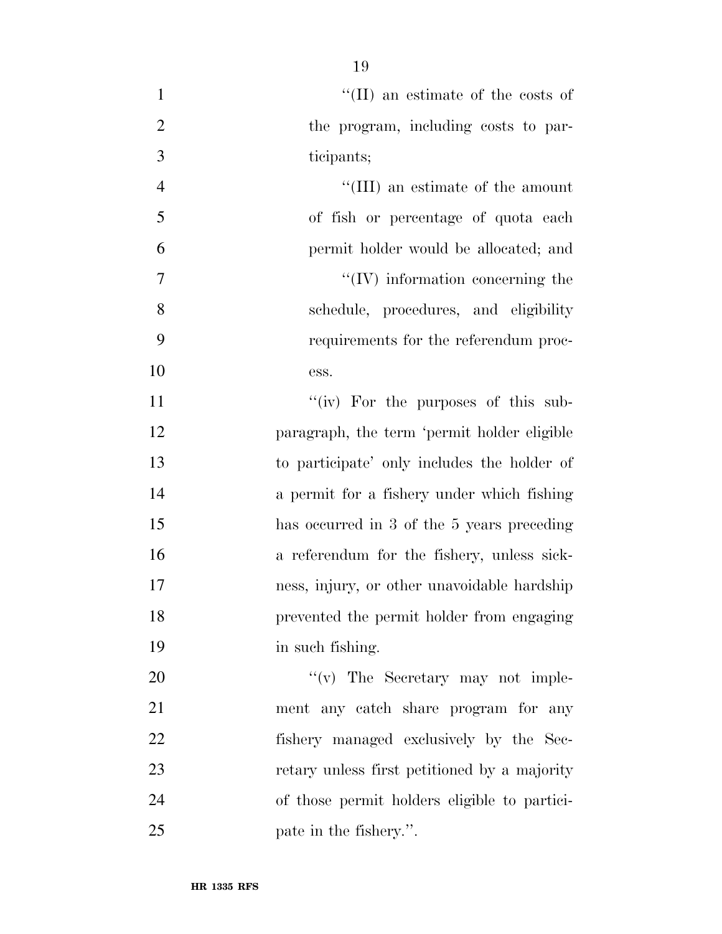| $\mathbf{1}$   | $\lq\lq$ (II) an estimate of the costs of    |
|----------------|----------------------------------------------|
| $\overline{2}$ | the program, including costs to par-         |
| 3              | ticipants;                                   |
| $\overline{4}$ | "(III) an estimate of the amount             |
| 5              | of fish or percentage of quota each          |
| 6              | permit holder would be allocated; and        |
| 7              | $\lq\lq$ (IV) information concerning the     |
| 8              | schedule, procedures, and eligibility        |
| 9              | requirements for the referendum proc-        |
| 10             | ess.                                         |
| 11             | " $(iv)$ For the purposes of this sub-       |
| 12             | paragraph, the term 'permit holder eligible  |
| 13             | to participate' only includes the holder of  |
| 14             | a permit for a fishery under which fishing   |
| 15             | has occurred in 3 of the 5 years preceding   |
| 16             | a referendum for the fishery, unless sick-   |
| 17             | ness, injury, or other unavoidable hardship  |
| 18             | prevented the permit holder from engaging    |
| 19             | in such fishing.                             |
| 20             | $f'(v)$ The Secretary may not imple-         |
| 21             | ment any catch share program for any         |
| 22             | fishery managed exclusively by the Sec-      |
| 23             | retary unless first petitioned by a majority |
| 24             | of those permit holders eligible to partici- |
| 25             | pate in the fishery.".                       |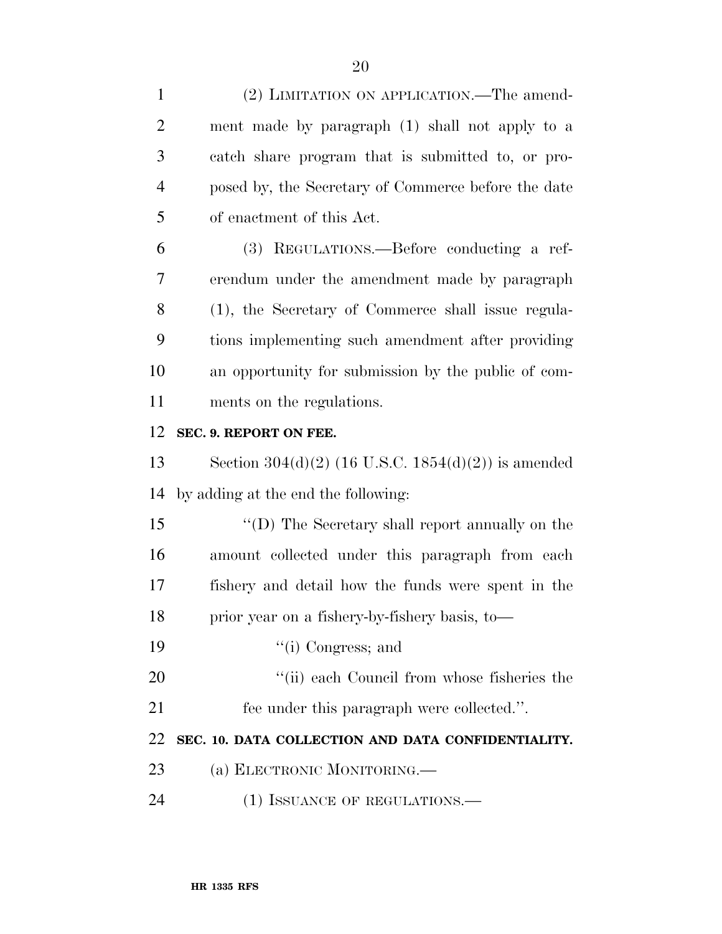| $\mathbf{1}$   | (2) LIMITATION ON APPLICATION.—The amend-             |
|----------------|-------------------------------------------------------|
| $\overline{2}$ | ment made by paragraph (1) shall not apply to a       |
| 3              | catch share program that is submitted to, or pro-     |
| $\overline{4}$ | posed by, the Secretary of Commerce before the date   |
| 5              | of enactment of this Act.                             |
| 6              | (3) REGULATIONS.—Before conducting a ref-             |
| 7              | erendum under the amendment made by paragraph         |
| 8              | (1), the Secretary of Commerce shall issue regula-    |
| 9              | tions implementing such amendment after providing     |
| 10             | an opportunity for submission by the public of com-   |
| 11             | ments on the regulations.                             |
| 12             | SEC. 9. REPORT ON FEE.                                |
| 13             | Section $304(d)(2)$ (16 U.S.C. 1854(d)(2)) is amended |
| 14             | by adding at the end the following:                   |
| 15             | "(D) The Secretary shall report annually on the       |
| 16             | amount collected under this paragraph from each       |
| 17             | fishery and detail how the funds were spent in the    |
| 18             | prior year on a fishery-by-fishery basis, to-         |
|                |                                                       |
| 19             | "(i) Congress; and                                    |
|                | "(ii) each Council from whose fisheries the           |
|                | fee under this paragraph were collected.".            |
| 20<br>21<br>22 | SEC. 10. DATA COLLECTION AND DATA CONFIDENTIALITY.    |
| 23             | (a) ELECTRONIC MONITORING.—                           |
| 24             | (1) ISSUANCE OF REGULATIONS.—                         |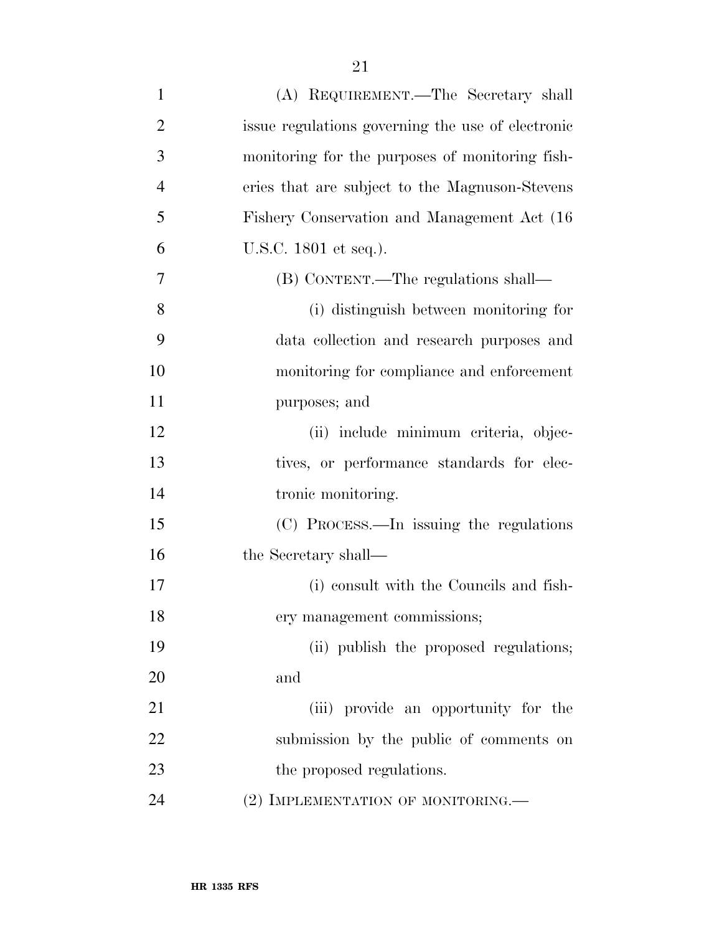| $\mathbf{1}$   | (A) REQUIREMENT.—The Secretary shall              |
|----------------|---------------------------------------------------|
| $\overline{2}$ | issue regulations governing the use of electronic |
| 3              | monitoring for the purposes of monitoring fish-   |
| $\overline{4}$ | eries that are subject to the Magnuson-Stevens    |
| 5              | Fishery Conservation and Management Act (16)      |
| 6              | U.S.C. 1801 et seq.).                             |
| 7              | (B) CONTENT.—The regulations shall—               |
| 8              | (i) distinguish between monitoring for            |
| 9              | data collection and research purposes and         |
| 10             | monitoring for compliance and enforcement         |
| 11             | purposes; and                                     |
| 12             | (ii) include minimum criteria, objec-             |
| 13             | tives, or performance standards for elec-         |
| 14             | tronic monitoring.                                |
| 15             | (C) PROCESS.—In issuing the regulations           |
| 16             | the Secretary shall—                              |
| 17             | (i) consult with the Councils and fish-           |
| 18             | ery management commissions;                       |
| 19             | (ii) publish the proposed regulations;            |
| 20             | and                                               |
| 21             | (iii) provide an opportunity for the              |
| 22             | submission by the public of comments on           |
| 23             | the proposed regulations.                         |
| 24             | (2) IMPLEMENTATION OF MONITORING.—                |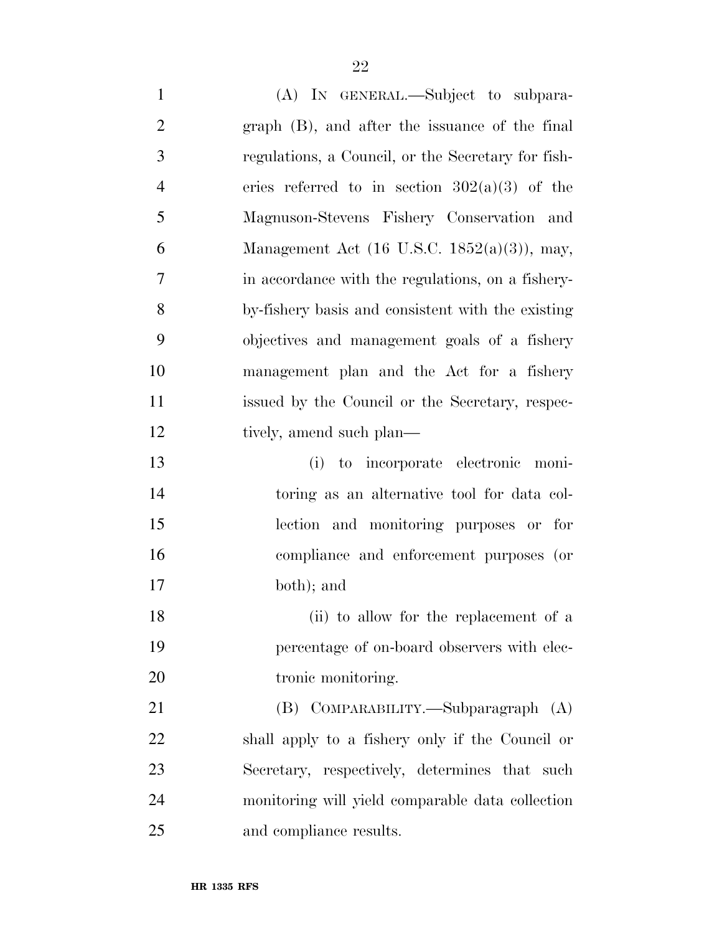(A) IN GENERAL.—Subject to subpara- graph (B), and after the issuance of the final regulations, a Council, or the Secretary for fish-4 eries referred to in section  $302(a)(3)$  of the Magnuson-Stevens Fishery Conservation and Management Act (16 U.S.C. 1852(a)(3)), may, in accordance with the regulations, on a fishery- by-fishery basis and consistent with the existing objectives and management goals of a fishery management plan and the Act for a fishery issued by the Council or the Secretary, respec-12 tively, amend such plan— (i) to incorporate electronic moni- toring as an alternative tool for data col- lection and monitoring purposes or for compliance and enforcement purposes (or both); and 18 (ii) to allow for the replacement of a percentage of on-board observers with elec-20 tronic monitoring. (B) COMPARABILITY.—Subparagraph (A)

 shall apply to a fishery only if the Council or Secretary, respectively, determines that such monitoring will yield comparable data collection and compliance results.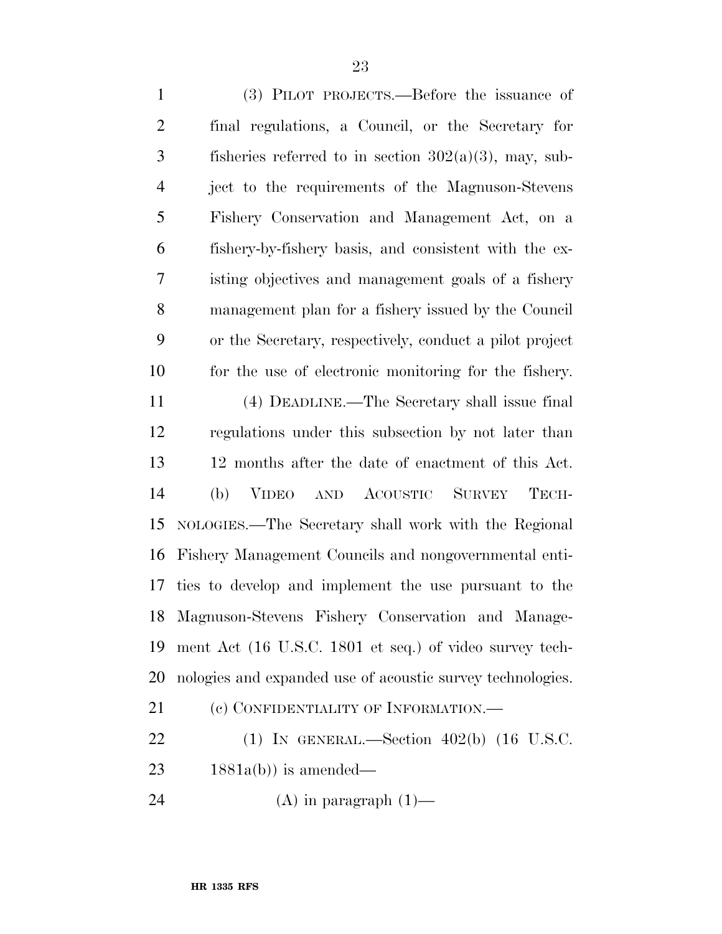(3) PILOT PROJECTS.—Before the issuance of final regulations, a Council, or the Secretary for 3 fisheries referred to in section  $302(a)(3)$ , may, sub- ject to the requirements of the Magnuson-Stevens Fishery Conservation and Management Act, on a fishery-by-fishery basis, and consistent with the ex- isting objectives and management goals of a fishery management plan for a fishery issued by the Council or the Secretary, respectively, conduct a pilot project for the use of electronic monitoring for the fishery. (4) DEADLINE.—The Secretary shall issue final regulations under this subsection by not later than 12 months after the date of enactment of this Act. (b) VIDEO AND ACOUSTIC SURVEY TECH- NOLOGIES.—The Secretary shall work with the Regional Fishery Management Councils and nongovernmental enti- ties to develop and implement the use pursuant to the Magnuson-Stevens Fishery Conservation and Manage- ment Act (16 U.S.C. 1801 et seq.) of video survey tech- nologies and expanded use of acoustic survey technologies. 21 (c) CONFIDENTIALITY OF INFORMATION.— (1) IN GENERAL.—Section 402(b) (16 U.S.C.

 $23 \qquad 1881a(b)$  is amended—

24  $(A)$  in paragraph  $(1)$ —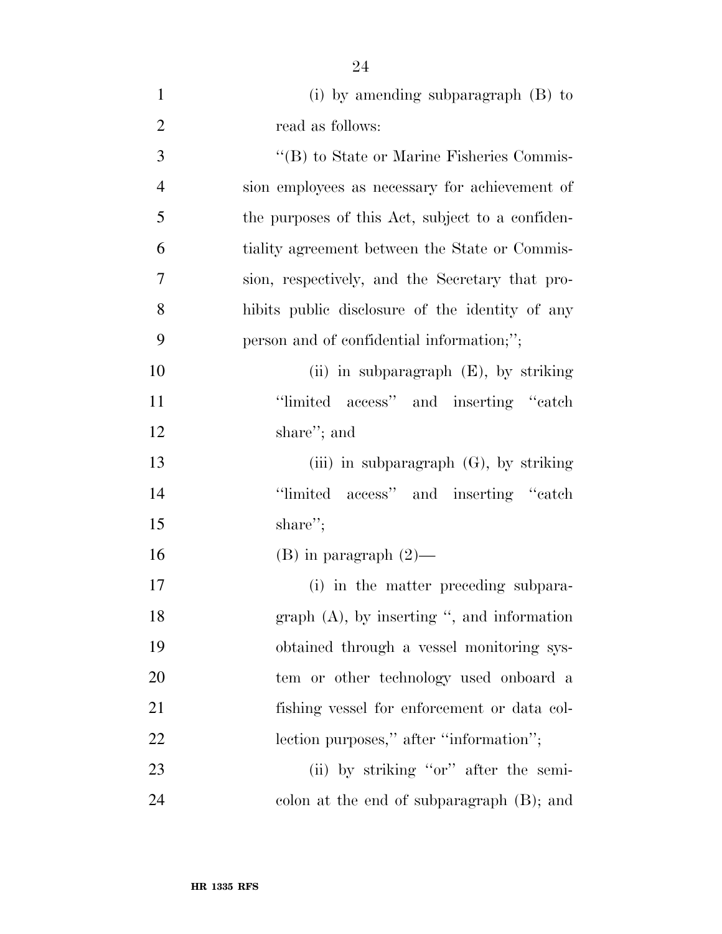| $\mathbf{1}$   | (i) by amending subparagraph $(B)$ to            |
|----------------|--------------------------------------------------|
| $\overline{2}$ | read as follows:                                 |
| 3              | "(B) to State or Marine Fisheries Commis-        |
| $\overline{4}$ | sion employees as necessary for achievement of   |
| 5              | the purposes of this Act, subject to a confiden- |
| 6              | tiality agreement between the State or Commis-   |
| $\overline{7}$ | sion, respectively, and the Secretary that pro-  |
| 8              | hibits public disclosure of the identity of any  |
| 9              | person and of confidential information;";        |
| 10             | (ii) in subparagraph $(E)$ , by striking         |
| 11             | "limited access" and inserting "catch            |
| 12             | share"; and                                      |
| 13             | (iii) in subparagraph $(G)$ , by striking        |
| 14             | "limited access" and inserting "catch"           |
| 15             | share";                                          |
| 16             | $(B)$ in paragraph $(2)$ —                       |
| 17             | (i) in the matter preceding subpara-             |
| 18             | graph $(A)$ , by inserting ", and information    |
| 19             | obtained through a vessel monitoring sys-        |
| 20             | tem or other technology used onboard a           |
| 21             | fishing vessel for enforcement or data col-      |
| 22             | lection purposes," after "information";          |
| 23             | (ii) by striking "or" after the semi-            |
| 24             | colon at the end of subparagraph (B); and        |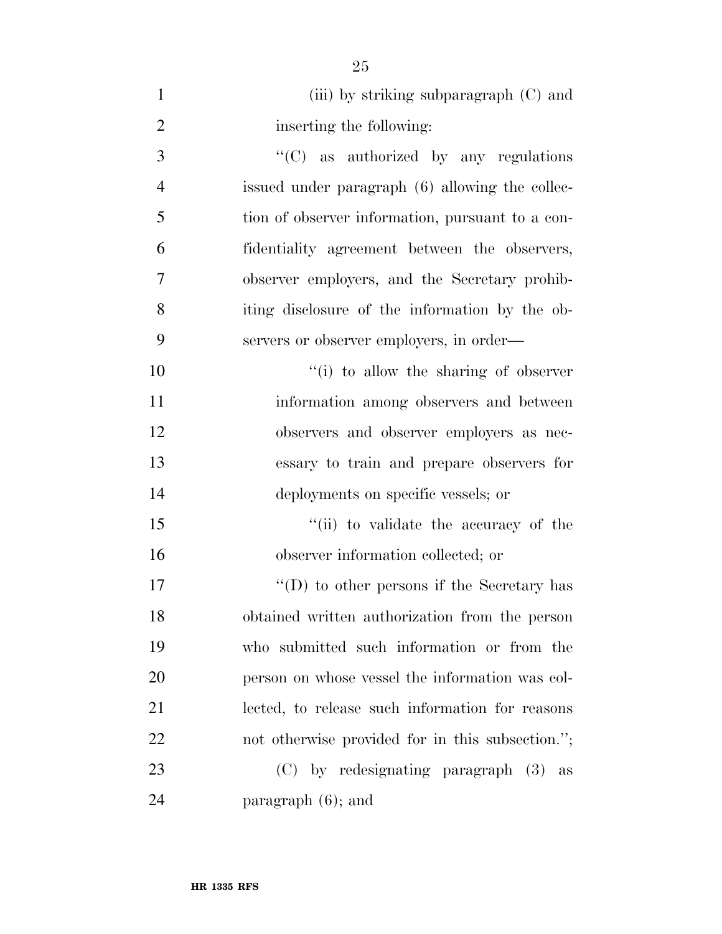| $\mathbf{1}$   | (iii) by striking subparagraph $(C)$ and         |
|----------------|--------------------------------------------------|
| $\overline{2}$ | inserting the following:                         |
| 3              | $\lq\lq$ (C) as authorized by any regulations    |
| $\overline{4}$ | issued under paragraph (6) allowing the collec-  |
| 5              | tion of observer information, pursuant to a con- |
| 6              | fidentiality agreement between the observers,    |
| $\overline{7}$ | observer employers, and the Secretary prohib-    |
| 8              | iting disclosure of the information by the ob-   |
| 9              | servers or observer employers, in order—         |
| 10             | "(i) to allow the sharing of observer            |
| 11             | information among observers and between          |
| 12             | observers and observer employers as nec-         |
| 13             | essary to train and prepare observers for        |
| 14             | deployments on specific vessels; or              |
| 15             | "(ii) to validate the accuracy of the            |
| 16             | observer information collected; or               |
| 17             | "(D) to other persons if the Secretary has       |
| 18             | obtained written authorization from the person   |
| 19             | who submitted such information or from the       |
| 20             | person on whose vessel the information was col-  |
| 21             | lected, to release such information for reasons  |
| 22             | not otherwise provided for in this subsection."; |
| 23             | $(C)$ by redesignating paragraph $(3)$<br>as     |
| 24             | paragraph $(6)$ ; and                            |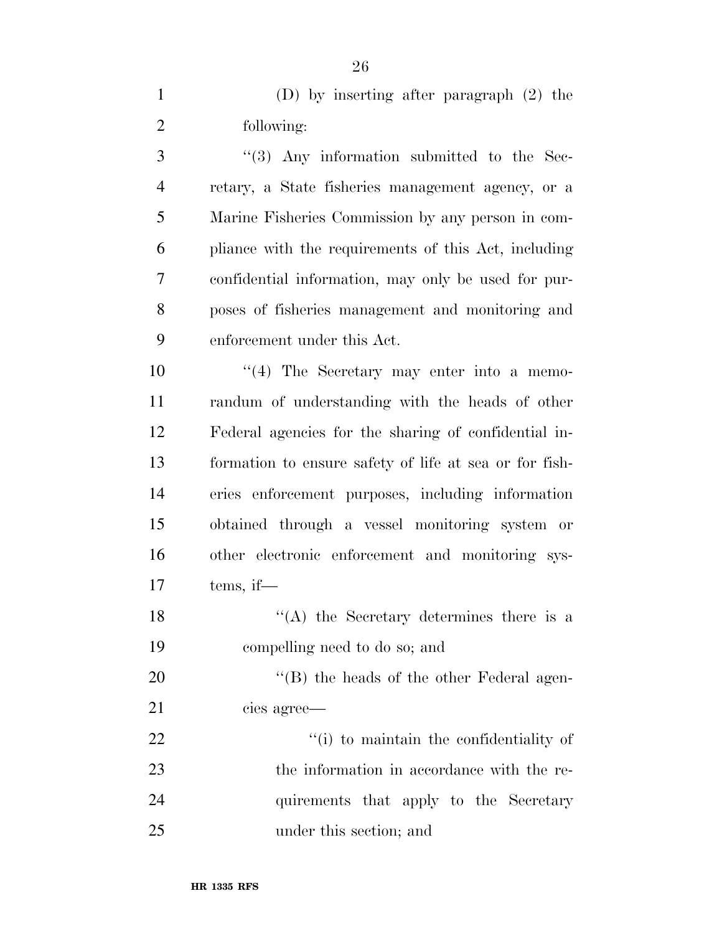(D) by inserting after paragraph (2) the following:

3 ''(3) Any information submitted to the Sec- retary, a State fisheries management agency, or a Marine Fisheries Commission by any person in com- pliance with the requirements of this Act, including confidential information, may only be used for pur- poses of fisheries management and monitoring and enforcement under this Act.

 $\frac{u(4)}{10}$  The Secretary may enter into a memo- randum of understanding with the heads of other Federal agencies for the sharing of confidential in- formation to ensure safety of life at sea or for fish- eries enforcement purposes, including information obtained through a vessel monitoring system or other electronic enforcement and monitoring sys-tems, if—

18  $\langle (A)$  the Secretary determines there is a compelling need to do so; and

20 "'(B) the heads of the other Federal agen-cies agree—

 $\frac{1}{2}$   $\frac{1}{2}$   $\frac{1}{2}$  to maintain the confidentiality of the information in accordance with the re- quirements that apply to the Secretary under this section; and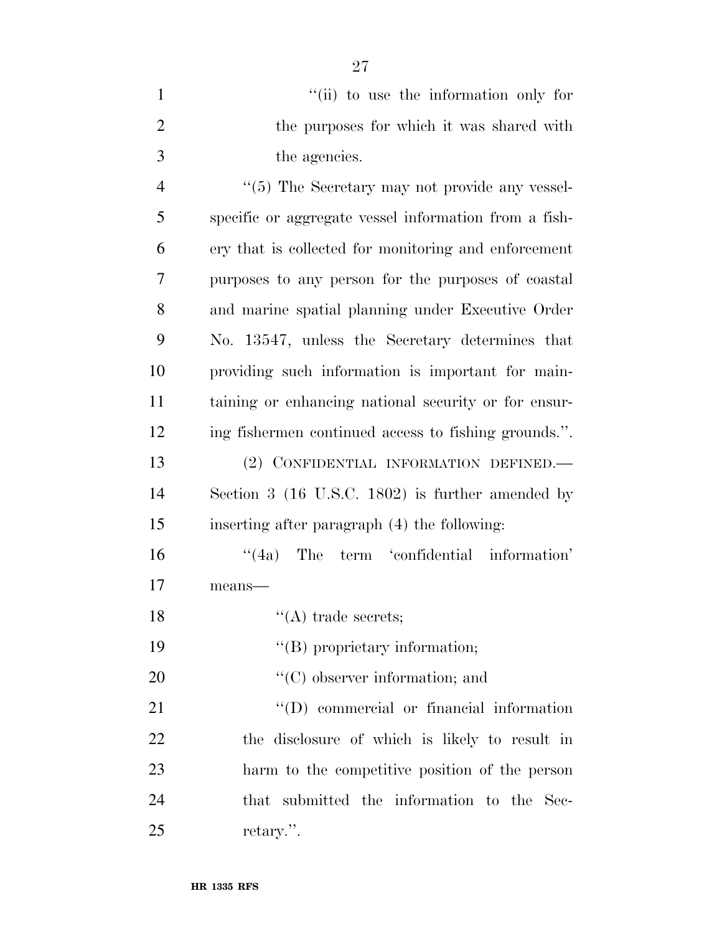| "(ii) to use the information only for     |
|-------------------------------------------|
| the purposes for which it was shared with |
| the agencies.                             |

 $(5)$  The Secretary may not provide any vessel- specific or aggregate vessel information from a fish- ery that is collected for monitoring and enforcement purposes to any person for the purposes of coastal and marine spatial planning under Executive Order No. 13547, unless the Secretary determines that providing such information is important for main- taining or enhancing national security or for ensur- ing fishermen continued access to fishing grounds.''. (2) CONFIDENTIAL INFORMATION DEFINED.—

 Section 3 (16 U.S.C. 1802) is further amended by inserting after paragraph (4) the following:

 ''(4a) The term 'confidential information' means—

''(A) trade secrets;

19  $"$ (B) proprietary information;

20  $\langle ^{\prime}(C) \rangle$  observer information; and

21 ''(D) commercial or financial information the disclosure of which is likely to result in harm to the competitive position of the person that submitted the information to the Sec-retary.''.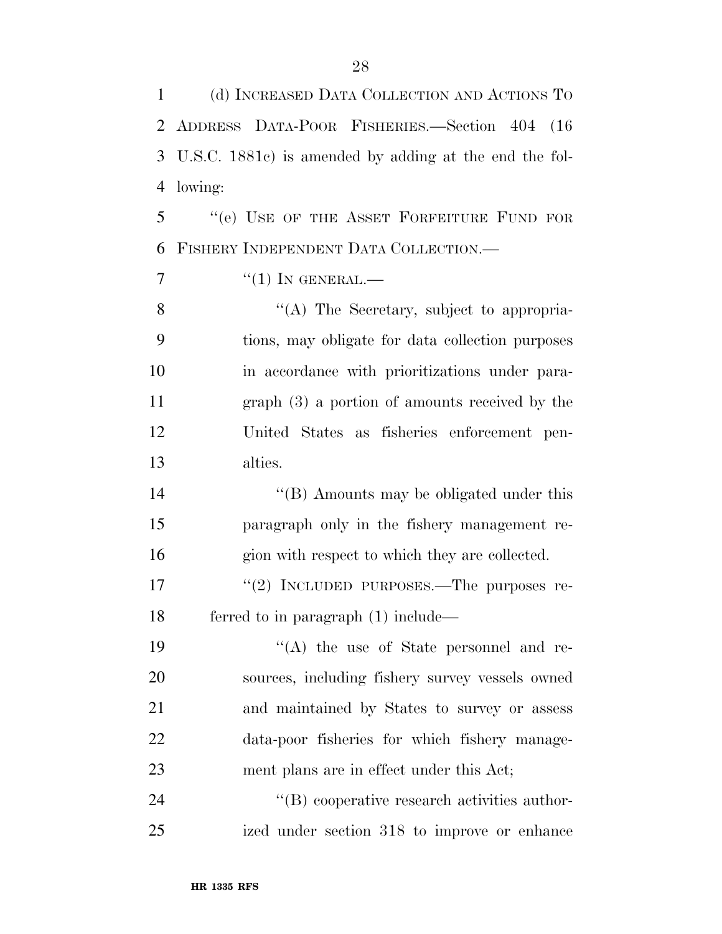(d) INCREASED DATA COLLECTION AND ACTIONS TO

ADDRESS DATA-POOR FISHERIES.—Section 404 (16

 U.S.C. 1881c) is amended by adding at the end the fol- lowing: ''(e) USE OF THE ASSET FORFEITURE FUND FOR FISHERY INDEPENDENT DATA COLLECTION.—  $\frac{7}{1}$  ''(1) In GENERAL. 8 ''(A) The Secretary, subject to appropria- tions, may obligate for data collection purposes in accordance with prioritizations under para- graph (3) a portion of amounts received by the United States as fisheries enforcement pen- alties. 14 ''(B) Amounts may be obligated under this paragraph only in the fishery management re- gion with respect to which they are collected. 17 "(2) INCLUDED PURPOSES.—The purposes re- ferred to in paragraph (1) include— 19 ''(A) the use of State personnel and re- sources, including fishery survey vessels owned and maintained by States to survey or assess data-poor fisheries for which fishery manage-ment plans are in effect under this Act;

24  $\text{``(B) cooperative research activities author-}$ ized under section 318 to improve or enhance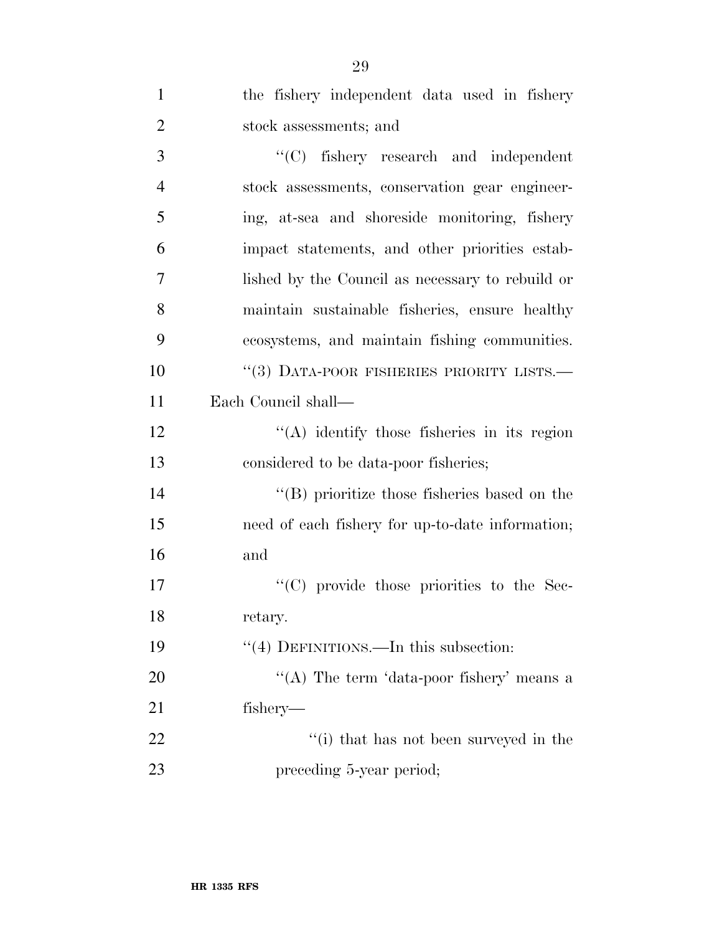| $\mathbf{1}$   | the fishery independent data used in fishery         |
|----------------|------------------------------------------------------|
| $\overline{2}$ | stock assessments; and                               |
| 3              | "(C) fishery research and independent                |
| $\overline{4}$ | stock assessments, conservation gear engineer-       |
| 5              | ing, at-sea and shoreside monitoring, fishery        |
| 6              | impact statements, and other priorities estab-       |
| 7              | lished by the Council as necessary to rebuild or     |
| 8              | maintain sustainable fisheries, ensure healthy       |
| 9              | ecosystems, and maintain fishing communities.        |
| 10             | $``(3)$ DATA-POOR FISHERIES PRIORITY LISTS.—         |
| 11             | Each Council shall—                                  |
| 12             | $\lq\lq$ identify those fisheries in its region      |
| 13             | considered to be data-poor fisheries;                |
| 14             | $\lq\lq$ (B) prioritize those fisheries based on the |
| 15             | need of each fishery for up-to-date information;     |
| 16             | and                                                  |
| 17             | "(C) provide those priorities to the Sec-            |
| 18             | retary.                                              |
| 19             | "(4) DEFINITIONS.—In this subsection:                |
| 20             | "(A) The term 'data-poor fishery' means a            |
| 21             | fishery—                                             |
| 22             | "(i) that has not been surveyed in the               |
| 23             | preceding 5-year period;                             |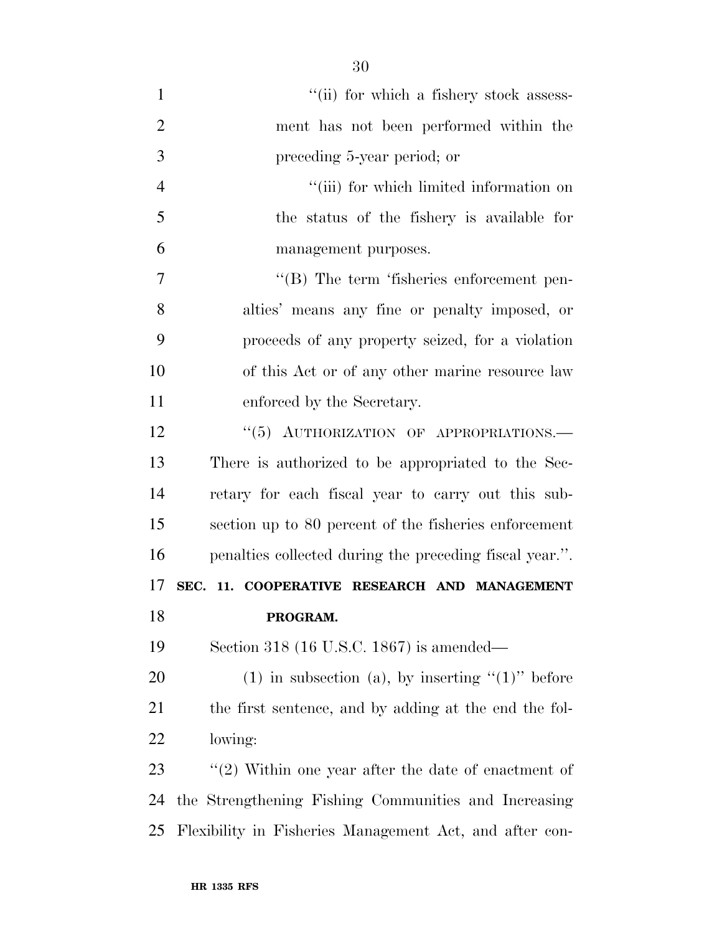| $\mathbf{1}$   | "(ii) for which a fishery stock assess-                 |
|----------------|---------------------------------------------------------|
| $\overline{2}$ | ment has not been performed within the                  |
| 3              | preceding 5-year period; or                             |
| $\overline{4}$ | "(iii) for which limited information on                 |
| 5              | the status of the fishery is available for              |
| 6              | management purposes.                                    |
| 7              | "(B) The term 'fisheries enforcement pen-               |
| 8              | alties' means any fine or penalty imposed, or           |
| 9              | proceeds of any property seized, for a violation        |
| 10             | of this Act or of any other marine resource law         |
| 11             | enforced by the Secretary.                              |
| 12             | "(5) AUTHORIZATION OF APPROPRIATIONS.-                  |
| 13             | There is authorized to be appropriated to the Sec-      |
| 14             | retary for each fiscal year to carry out this sub-      |
| 15             | section up to 80 percent of the fisheries enforcement   |
| 16             | penalties collected during the preceding fiscal year.". |
| 17             | SEC. 11. COOPERATIVE RESEARCH AND MANAGEMENT            |
| 18             | PROGRAM.                                                |
| 19             | Section 318 (16 U.S.C. 1867) is amended—                |
| 20             | (1) in subsection (a), by inserting " $(1)$ " before    |
| 21             | the first sentence, and by adding at the end the fol-   |
| 22             | lowing:                                                 |
| 23             | $\lq(2)$ Within one year after the date of enactment of |
| 24             | the Strengthening Fishing Communities and Increasing    |
| 25             | Flexibility in Fisheries Management Act, and after con- |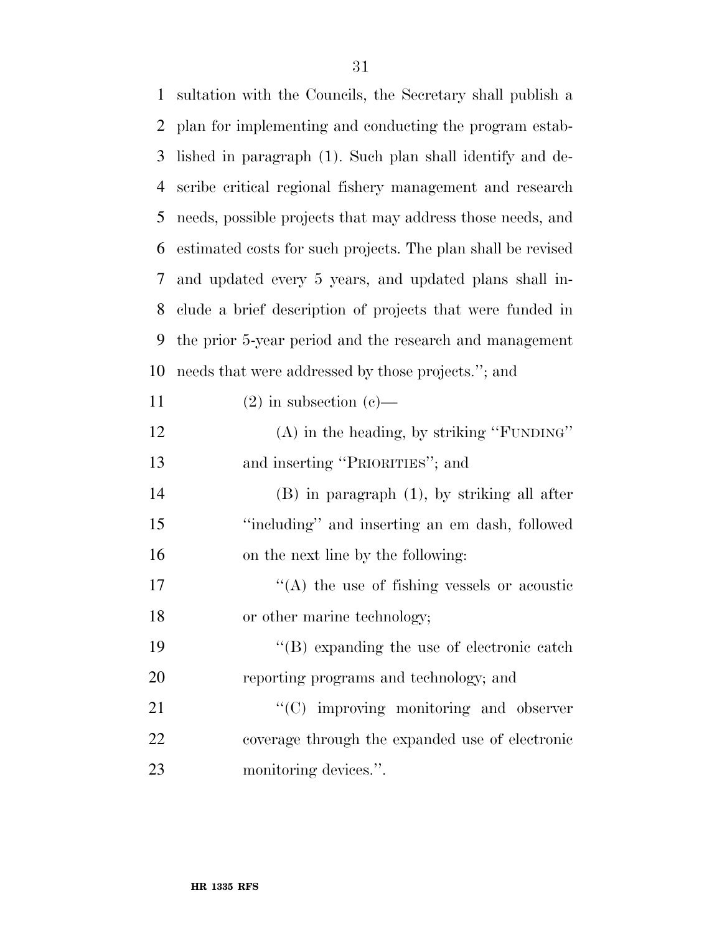| $\mathbf{1}$ | sultation with the Councils, the Secretary shall publish a   |
|--------------|--------------------------------------------------------------|
| 2            | plan for implementing and conducting the program estab-      |
| 3            | lished in paragraph (1). Such plan shall identify and de-    |
| 4            | scribe critical regional fishery management and research     |
| 5            | needs, possible projects that may address those needs, and   |
| 6            | estimated costs for such projects. The plan shall be revised |
| 7            | and updated every 5 years, and updated plans shall in-       |
| 8            | clude a brief description of projects that were funded in    |
| 9            | the prior 5-year period and the research and management      |
| 10           | needs that were addressed by those projects."; and           |
| 11           | $(2)$ in subsection $(e)$ —                                  |
| 12           | $(A)$ in the heading, by striking "FUNDING"                  |
| 13           | and inserting "PRIORITIES"; and                              |
| 14           | $(B)$ in paragraph $(1)$ , by striking all after             |
| 15           | "including" and inserting an em dash, followed               |
| 16           | on the next line by the following:                           |
| 17           | $\cdot$ (A) the use of fishing vessels or acoustic           |
| 18           | or other marine technology;                                  |
| 19           | $\lq\lq (B)$ expanding the use of electronic catch           |
| 20           | reporting programs and technology; and                       |
| 21           | $\lq\lq$ improving monitoring and observer                   |
| 22           | coverage through the expanded use of electronic              |
| 23           | monitoring devices.".                                        |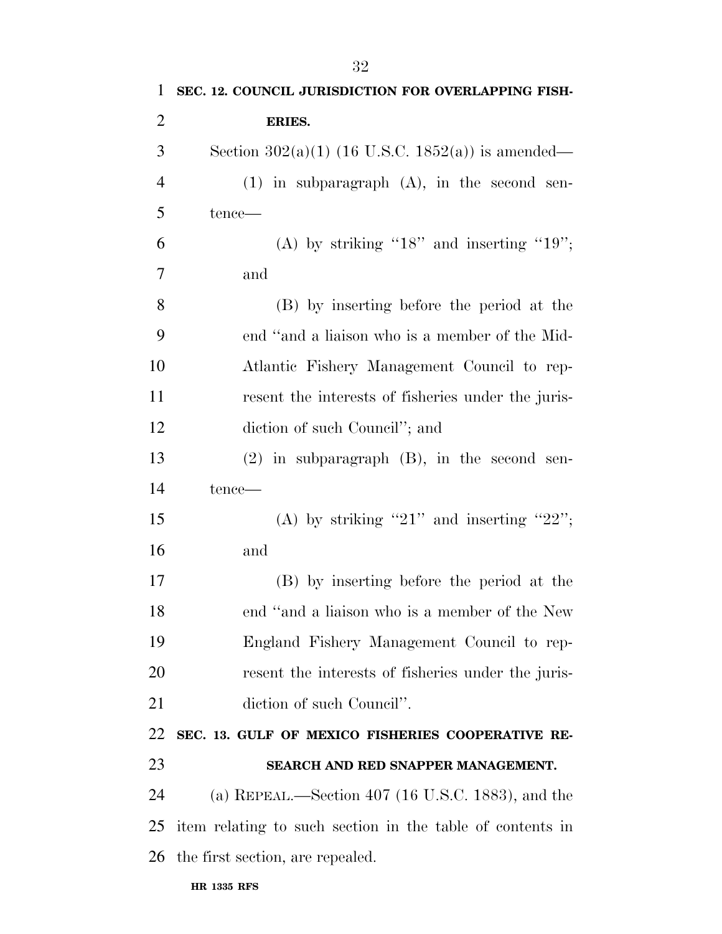| $\mathbf{1}$   | SEC. 12. COUNCIL JURISDICTION FOR OVERLAPPING FISH-       |
|----------------|-----------------------------------------------------------|
| $\overline{2}$ | ERIES.                                                    |
| 3              | Section 302(a)(1) (16 U.S.C. 1852(a)) is amended—         |
| $\overline{4}$ | $(1)$ in subparagraph $(A)$ , in the second sen-          |
| 5              | tence—                                                    |
| 6              | (A) by striking " $18$ " and inserting " $19$ ";          |
| 7              | and                                                       |
| 8              | (B) by inserting before the period at the                 |
| 9              | end "and a liaison who is a member of the Mid-            |
| 10             | Atlantic Fishery Management Council to rep-               |
| 11             | resent the interests of fisheries under the juris-        |
| 12             | diction of such Council"; and                             |
| 13             | $(2)$ in subparagraph $(B)$ , in the second sen-          |
| 14             | tence—                                                    |
| 15             | (A) by striking "21" and inserting "22";                  |
| 16             | and                                                       |
| 17             | (B) by inserting before the period at the                 |
| 18             | end "and a liaison who is a member of the New             |
| 19             | England Fishery Management Council to rep-                |
| 20             | resent the interests of fisheries under the juris-        |
| 21             | diction of such Council".                                 |
| 22             | SEC. 13. GULF OF MEXICO FISHERIES COOPERATIVE RE-         |
| 23             | SEARCH AND RED SNAPPER MANAGEMENT.                        |
| 24             | (a) REPEAL.—Section 407 (16 U.S.C. 1883), and the         |
| 25             | item relating to such section in the table of contents in |
| 26             | the first section, are repealed.                          |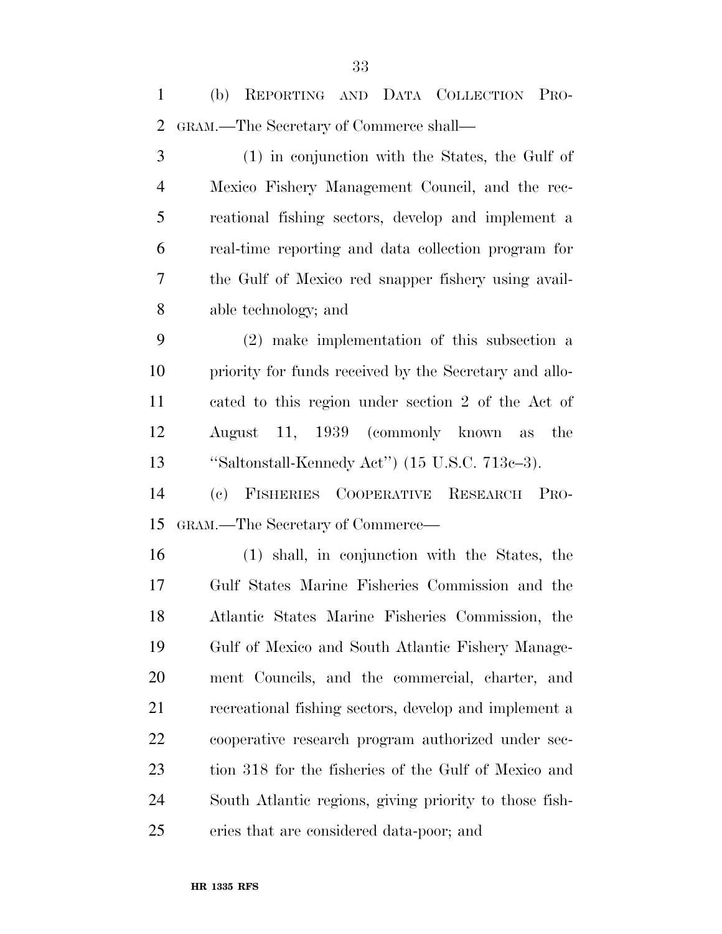(b) REPORTING AND DATA COLLECTION PRO- GRAM.—The Secretary of Commerce shall— (1) in conjunction with the States, the Gulf of Mexico Fishery Management Council, and the rec- reational fishing sectors, develop and implement a real-time reporting and data collection program for the Gulf of Mexico red snapper fishery using avail- able technology; and (2) make implementation of this subsection a priority for funds received by the Secretary and allo- cated to this region under section 2 of the Act of August 11, 1939 (commonly known as the ''Saltonstall-Kennedy Act'') (15 U.S.C. 713c–3). (c) FISHERIES COOPERATIVE RESEARCH PRO-

 (1) shall, in conjunction with the States, the Gulf States Marine Fisheries Commission and the Atlantic States Marine Fisheries Commission, the Gulf of Mexico and South Atlantic Fishery Manage- ment Councils, and the commercial, charter, and recreational fishing sectors, develop and implement a cooperative research program authorized under sec- tion 318 for the fisheries of the Gulf of Mexico and South Atlantic regions, giving priority to those fish-eries that are considered data-poor; and

GRAM.—The Secretary of Commerce—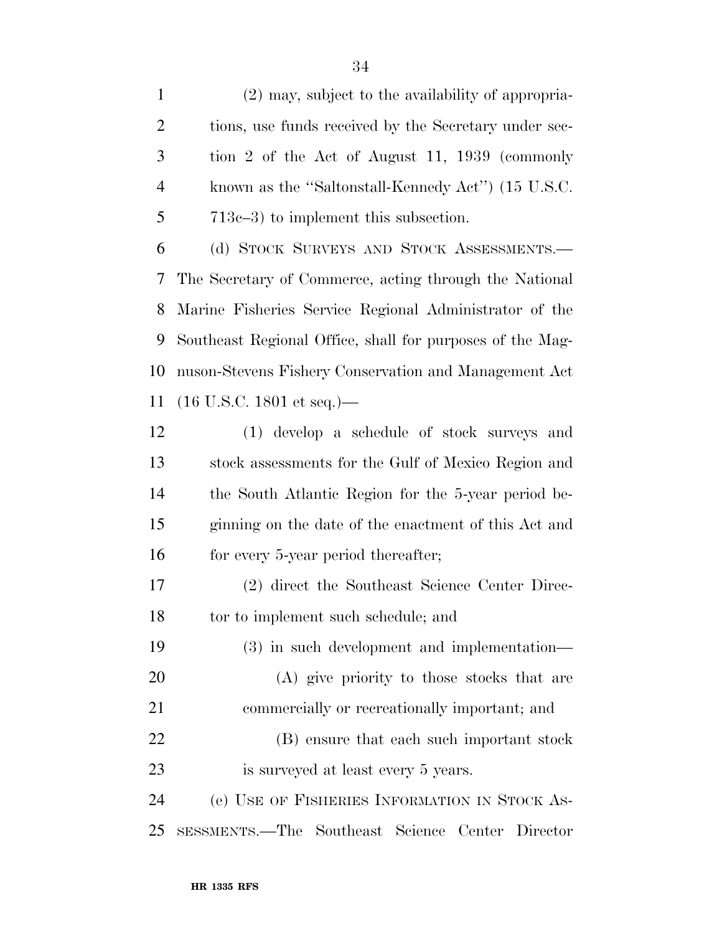(2) may, subject to the availability of appropria-2 tions, use funds received by the Secretary under sec- tion 2 of the Act of August 11, 1939 (commonly known as the ''Saltonstall-Kennedy Act'') (15 U.S.C. 713c–3) to implement this subsection. (d) STOCK SURVEYS AND STOCK ASSESSMENTS.— The Secretary of Commerce, acting through the National Marine Fisheries Service Regional Administrator of the Southeast Regional Office, shall for purposes of the Mag- nuson-Stevens Fishery Conservation and Management Act (16 U.S.C. 1801 et seq.)— (1) develop a schedule of stock surveys and stock assessments for the Gulf of Mexico Region and the South Atlantic Region for the 5-year period be- ginning on the date of the enactment of this Act and 16 for every 5-year period thereafter; (2) direct the Southeast Science Center Direc-18 to implement such schedule; and

 (3) in such development and implementation— (A) give priority to those stocks that are commercially or recreationally important; and (B) ensure that each such important stock

 (e) USE OF FISHERIES INFORMATION IN STOCK AS-SESSMENTS.—The Southeast Science Center Director

is surveyed at least every 5 years.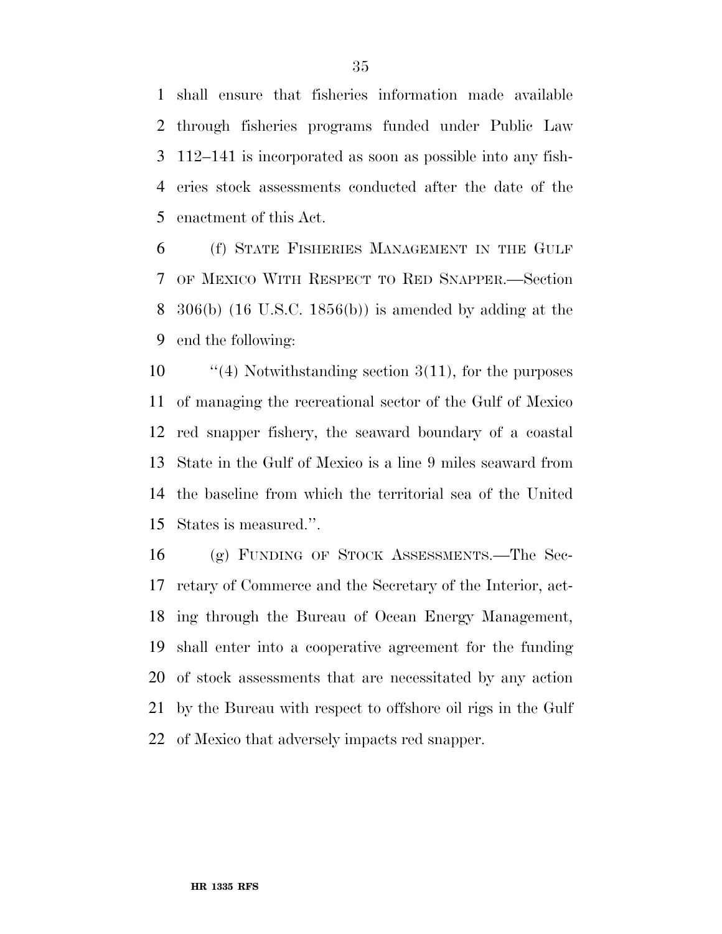shall ensure that fisheries information made available through fisheries programs funded under Public Law 112–141 is incorporated as soon as possible into any fish- eries stock assessments conducted after the date of the enactment of this Act.

 (f) STATE FISHERIES MANAGEMENT IN THE GULF OF MEXICO WITH RESPECT TO RED SNAPPER.—Section 306(b) (16 U.S.C. 1856(b)) is amended by adding at the end the following:

 $\frac{1}{4}$  Notwithstanding section 3(11), for the purposes of managing the recreational sector of the Gulf of Mexico red snapper fishery, the seaward boundary of a coastal State in the Gulf of Mexico is a line 9 miles seaward from the baseline from which the territorial sea of the United States is measured.''.

 (g) FUNDING OF STOCK ASSESSMENTS.—The Sec- retary of Commerce and the Secretary of the Interior, act- ing through the Bureau of Ocean Energy Management, shall enter into a cooperative agreement for the funding of stock assessments that are necessitated by any action by the Bureau with respect to offshore oil rigs in the Gulf of Mexico that adversely impacts red snapper.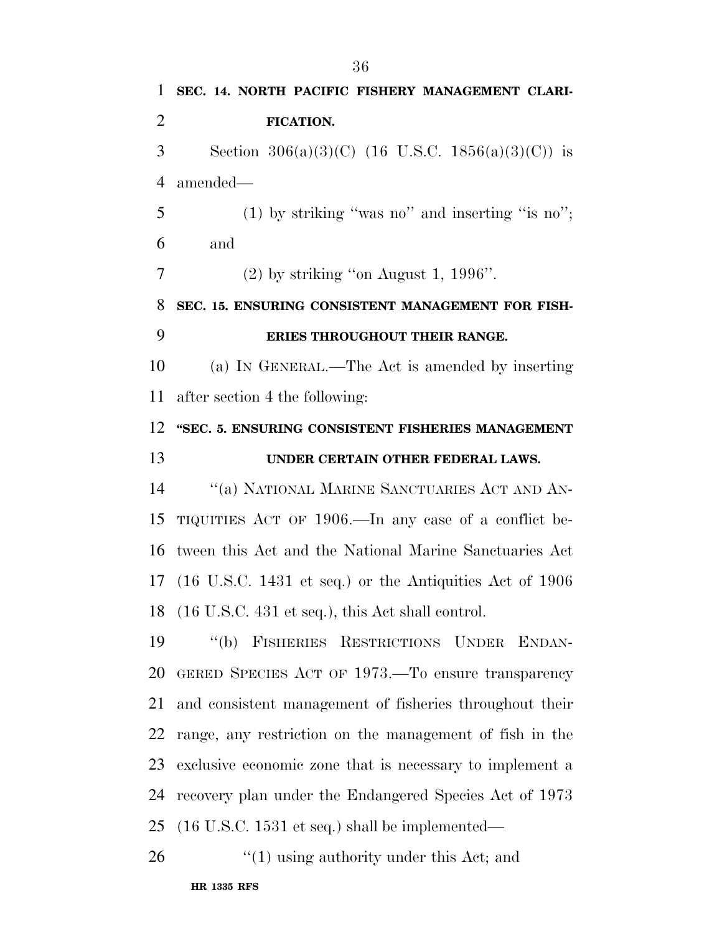**SEC. 14. NORTH PACIFIC FISHERY MANAGEMENT CLARI- FICATION.**  3 Section  $306(a)(3)(C)$  (16 U.S.C. 1856(a)(3)(C)) is amended— (1) by striking ''was no'' and inserting ''is no''; and (2) by striking "on August 1, 1996". **SEC. 15. ENSURING CONSISTENT MANAGEMENT FOR FISH- ERIES THROUGHOUT THEIR RANGE.**  (a) IN GENERAL.—The Act is amended by inserting after section 4 the following: **''SEC. 5. ENSURING CONSISTENT FISHERIES MANAGEMENT UNDER CERTAIN OTHER FEDERAL LAWS.**  ''(a) NATIONAL MARINE SANCTUARIES ACT AND AN- TIQUITIES ACT OF 1906.—In any case of a conflict be- tween this Act and the National Marine Sanctuaries Act (16 U.S.C. 1431 et seq.) or the Antiquities Act of 1906 (16 U.S.C. 431 et seq.), this Act shall control. ''(b) FISHERIES RESTRICTIONS UNDER ENDAN- GERED SPECIES ACT OF 1973.—To ensure transparency and consistent management of fisheries throughout their range, any restriction on the management of fish in the exclusive economic zone that is necessary to implement a recovery plan under the Endangered Species Act of 1973 (16 U.S.C. 1531 et seq.) shall be implemented— 26 "(1) using authority under this Act; and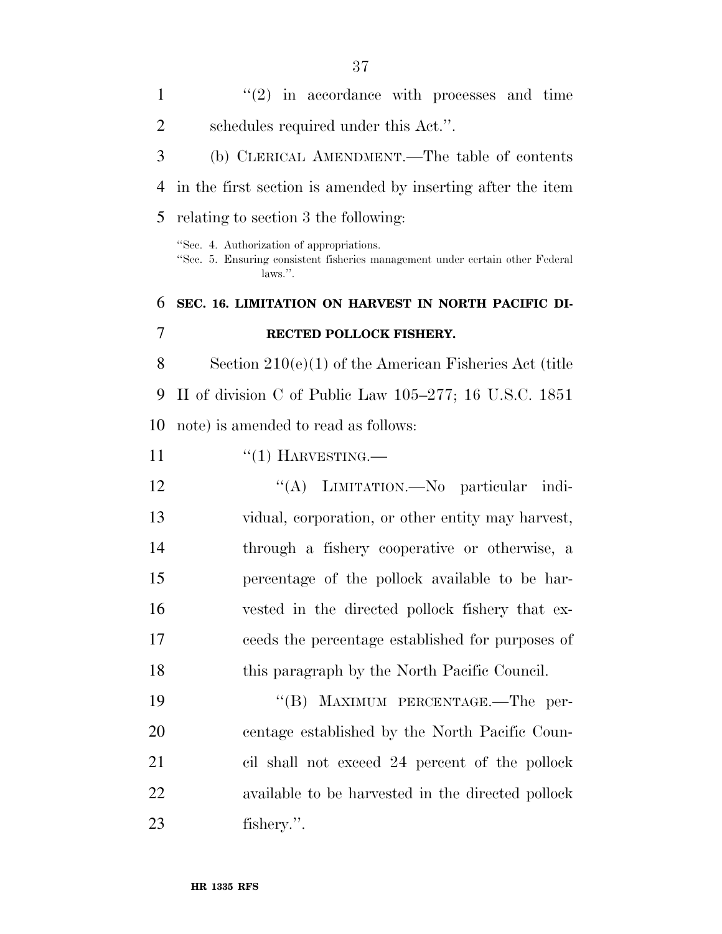| $\mathbf{1}$   | $(2)$ in accordance with processes and time                                                                                           |
|----------------|---------------------------------------------------------------------------------------------------------------------------------------|
| $\overline{2}$ | schedules required under this Act.".                                                                                                  |
| 3              | (b) CLERICAL AMENDMENT.—The table of contents                                                                                         |
| $\overline{4}$ | in the first section is amended by inserting after the item                                                                           |
| 5              | relating to section 3 the following:                                                                                                  |
|                | "Sec. 4. Authorization of appropriations.<br>"Sec. 5. Ensuring consistent fisheries management under certain other Federal<br>laws.". |
| 6              | SEC. 16. LIMITATION ON HARVEST IN NORTH PACIFIC DI-                                                                                   |
| 7              | RECTED POLLOCK FISHERY.                                                                                                               |
| 8              | Section $210(e)(1)$ of the American Fisheries Act (title                                                                              |
| 9              | II of division C of Public Law $105-277$ ; 16 U.S.C. 1851                                                                             |
| 10             | note) is amended to read as follows:                                                                                                  |
| 11             | $``(1)$ HARVESTING.—                                                                                                                  |
| 12             | "(A) LIMITATION.—No particular indi-                                                                                                  |
| 13             | vidual, corporation, or other entity may harvest,                                                                                     |
| 14             | through a fishery cooperative or otherwise, a                                                                                         |
| 15             | percentage of the pollock available to be har-                                                                                        |
| 16             | vested in the directed pollock fishery that ex-                                                                                       |
| 17             | ceeds the percentage established for purposes of                                                                                      |
| 18             | this paragraph by the North Pacific Council.                                                                                          |
| 19             | "(B) MAXIMUM PERCENTAGE.—The per-                                                                                                     |
| 20             | centage established by the North Pacific Coun-                                                                                        |
| 21             | cil shall not exceed 24 percent of the pollock                                                                                        |
| 22             | available to be harvested in the directed pollock                                                                                     |
| 23             | fishery.".                                                                                                                            |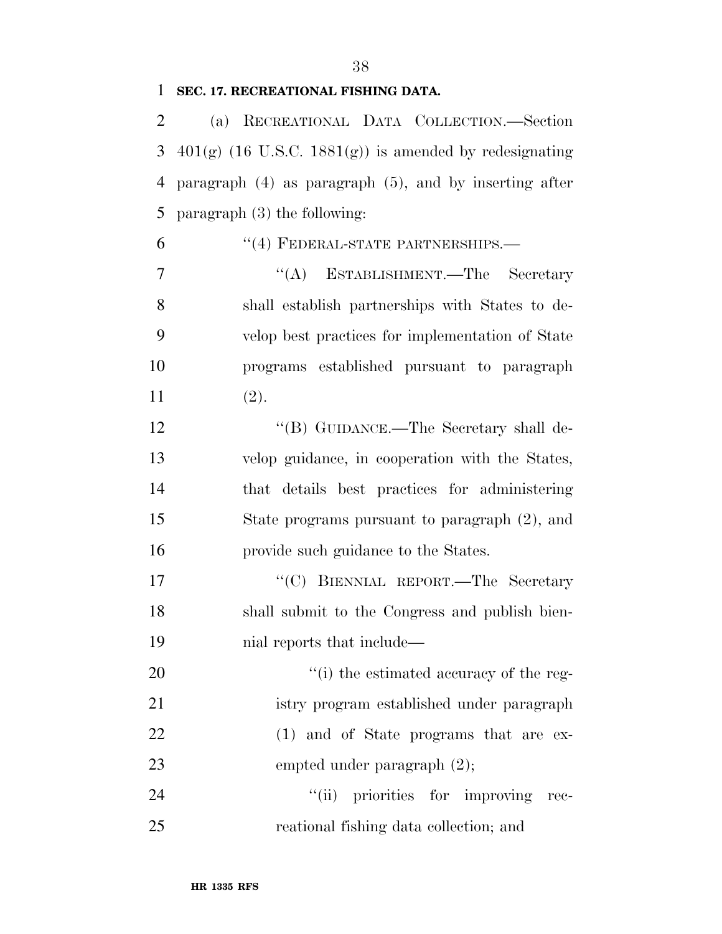#### **SEC. 17. RECREATIONAL FISHING DATA.**

 (a) RECREATIONAL DATA COLLECTION.—Section 3 401(g) (16 U.S.C. 1881(g)) is amended by redesignating paragraph (4) as paragraph (5), and by inserting after paragraph (3) the following:

6 "(4) FEDERAL-STATE PARTNERSHIPS.—

 ''(A) ESTABLISHMENT.—The Secretary shall establish partnerships with States to de- velop best practices for implementation of State programs established pursuant to paragraph (2).

12 "(B) GUIDANCE.—The Secretary shall de- velop guidance, in cooperation with the States, that details best practices for administering State programs pursuant to paragraph (2), and provide such guidance to the States.

17 "'(C) BIENNIAL REPORT.—The Secretary shall submit to the Congress and publish bien-nial reports that include—

20  $\cdot$  (i) the estimated accuracy of the reg- istry program established under paragraph 22 (1) and of State programs that are ex-23 empted under paragraph  $(2)$ ;

24  $"$ (ii) priorities for improving rec-reational fishing data collection; and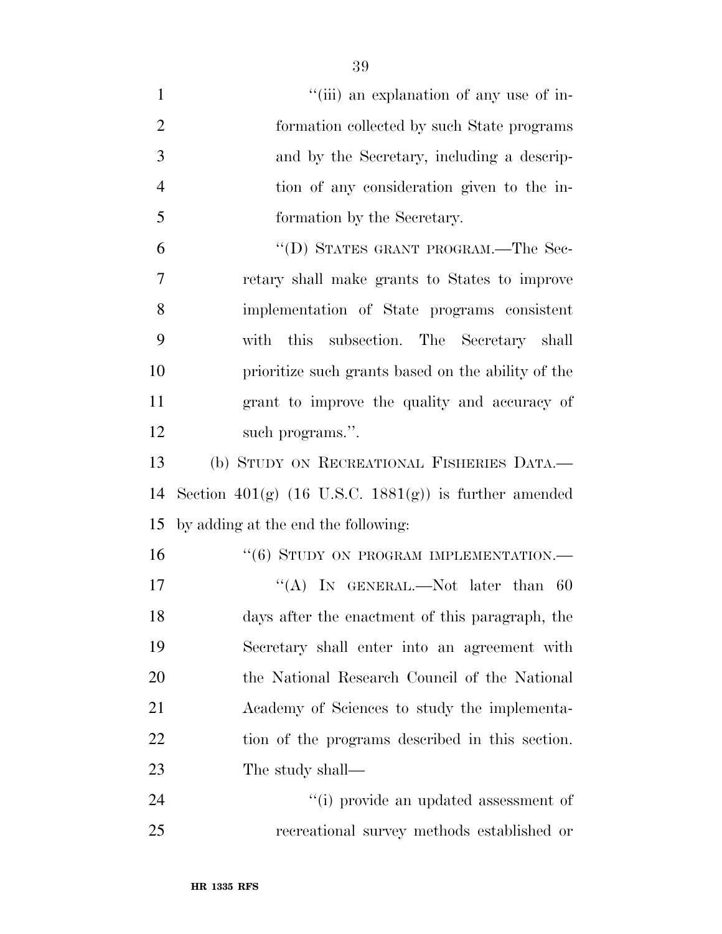| $\mathbf{1}$   | "(iii) an explanation of any use of in-                          |
|----------------|------------------------------------------------------------------|
| $\overline{2}$ | formation collected by such State programs                       |
| 3              | and by the Secretary, including a descrip-                       |
| $\overline{4}$ | tion of any consideration given to the in-                       |
| 5              | formation by the Secretary.                                      |
| 6              | "(D) STATES GRANT PROGRAM.—The Sec-                              |
| 7              | retary shall make grants to States to improve                    |
| 8              | implementation of State programs consistent                      |
| 9              | with this subsection. The Secretary shall                        |
| 10             | prioritize such grants based on the ability of the               |
| 11             | grant to improve the quality and accuracy of                     |
| 12             | such programs.".                                                 |
| 13             | (b) STUDY ON RECREATIONAL FISHERIES DATA.-                       |
| 14             | Section 401(g) $(16 \text{ U.S.C. } 1881(g))$ is further amended |
| 15             | by adding at the end the following:                              |
| 16             | $``(6)$ STUDY ON PROGRAM IMPLEMENTATION.—                        |
| 17             | "(A) IN GENERAL.—Not later than $60$                             |
| 18             | days after the enactment of this paragraph, the                  |
| 19             | Secretary shall enter into an agreement with                     |
| 20             | the National Research Council of the National                    |
| 21             | Academy of Sciences to study the implementa-                     |
| 22             | tion of the programs described in this section.                  |
| 23             | The study shall—                                                 |
|                |                                                                  |

recreational survey methods established or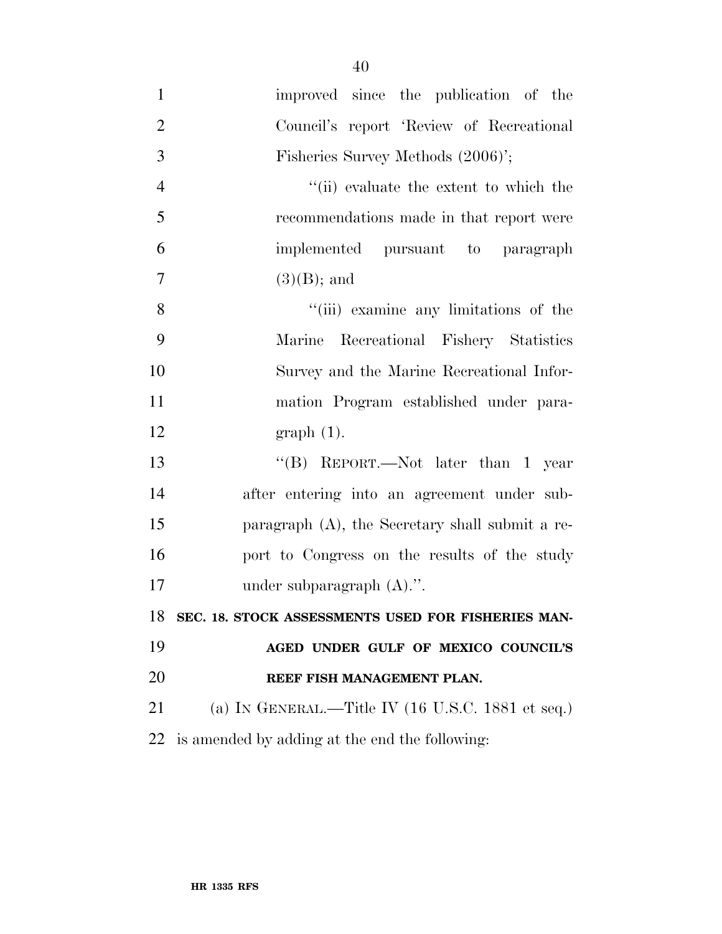- improved since the publication of the Council's report 'Review of Recreational Fisheries Survey Methods (2006)'; 4 ''(ii) evaluate the extent to which the recommendations made in that report were implemented pursuant to paragraph 7  $(3)(B)$ ; and 8 ''(iii) examine any limitations of the Marine Recreational Fishery Statistics Survey and the Marine Recreational Infor- mation Program established under para- graph (1). ''(B) REPORT.—Not later than 1 year after entering into an agreement under sub- paragraph (A), the Secretary shall submit a re- port to Congress on the results of the study under subparagraph (A).''. **SEC. 18. STOCK ASSESSMENTS USED FOR FISHERIES MAN- AGED UNDER GULF OF MEXICO COUNCIL'S REEF FISH MANAGEMENT PLAN.** (a) IN GENERAL.—Title IV (16 U.S.C. 1881 et seq.)
- is amended by adding at the end the following: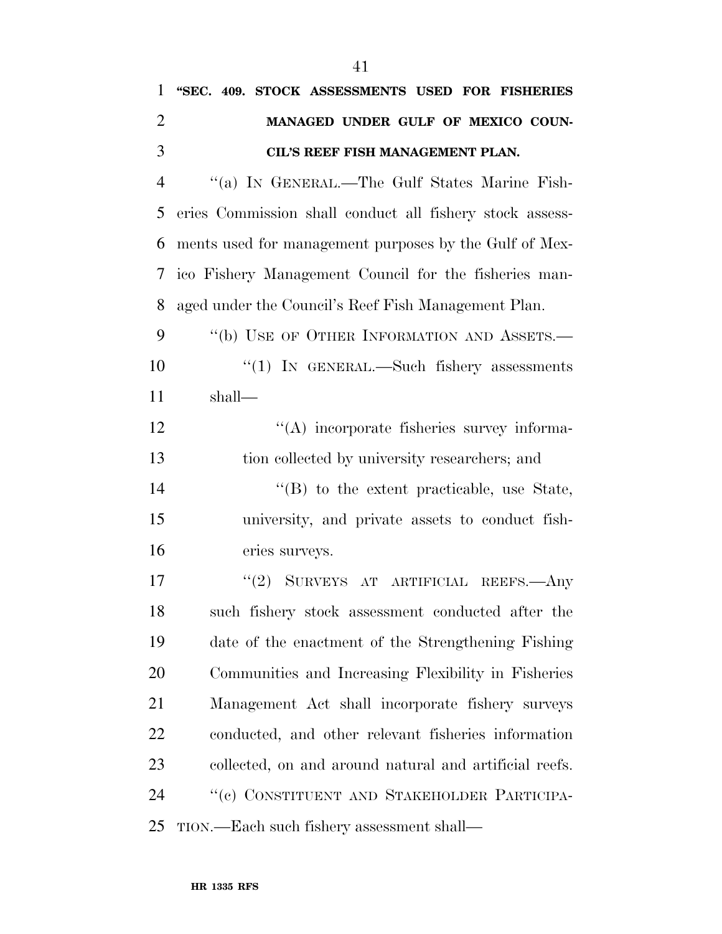| $\mathbf{1}$   | "SEC. 409. STOCK ASSESSMENTS USED FOR FISHERIES          |
|----------------|----------------------------------------------------------|
| $\overline{2}$ | MANAGED UNDER GULF OF MEXICO COUN-                       |
| 3              | CIL'S REEF FISH MANAGEMENT PLAN.                         |
| $\overline{4}$ | "(a) IN GENERAL.—The Gulf States Marine Fish-            |
| 5              | eries Commission shall conduct all fishery stock assess- |
| 6              | ments used for management purposes by the Gulf of Mex-   |
| 7              | ico Fishery Management Council for the fisheries man-    |
| 8              | aged under the Council's Reef Fish Management Plan.      |
| 9              | "(b) USE OF OTHER INFORMATION AND ASSETS.—               |
| 10             | " $(1)$ In GENERAL.—Such fishery assessments             |
| 11             | $shall$ —                                                |
| 12             | "(A) incorporate fisheries survey informa-               |
| 13             | tion collected by university researchers; and            |
| 14             | $\lq\lq$ to the extent practicable, use State,           |
| 15             | university, and private assets to conduct fish-          |
| 16             | eries surveys.                                           |
| 17             | "(2) SURVEYS AT ARTIFICIAL REEFS.—Any                    |
| 18             | such fishery stock assessment conducted after the        |
| 19             | date of the enactment of the Strengthening Fishing       |
| 20             | Communities and Increasing Flexibility in Fisheries      |
| 21             | Management Act shall incorporate fishery surveys         |
| 22             | conducted, and other relevant fisheries information      |
| 23             | collected, on and around natural and artificial reefs.   |
| 24             | "(c) CONSTITUENT AND STAKEHOLDER PARTICIPA-              |
| 25             | TION.—Each such fishery assessment shall—                |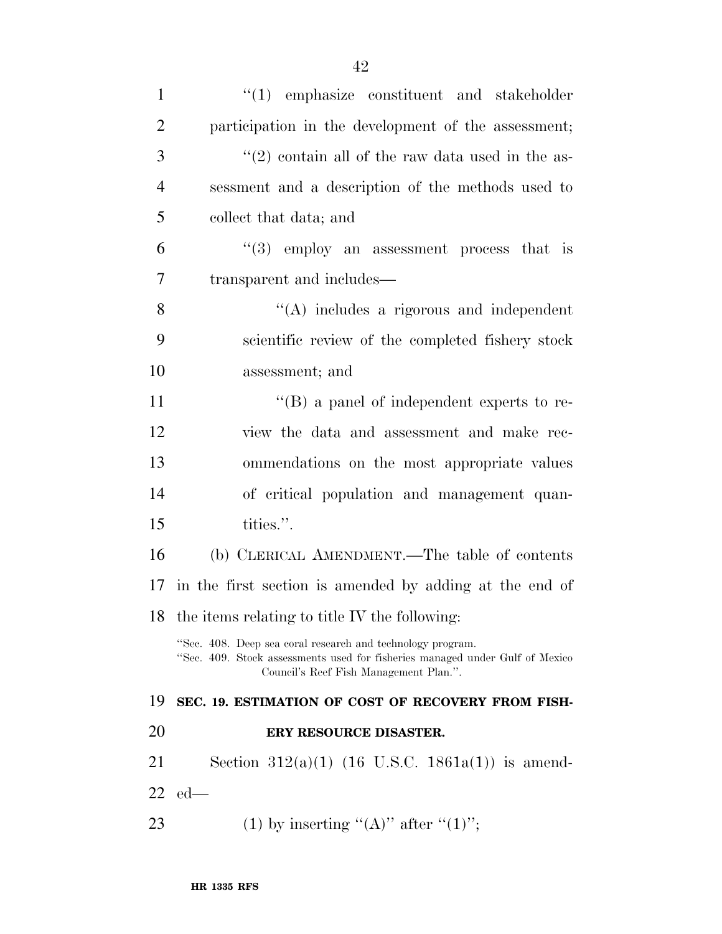| $\mathbf{1}$   | $\lq(1)$ emphasize constituent and stakeholder                                                                                                                                       |
|----------------|--------------------------------------------------------------------------------------------------------------------------------------------------------------------------------------|
| $\overline{2}$ | participation in the development of the assessment;                                                                                                                                  |
| 3              | $(2)$ contain all of the raw data used in the as-                                                                                                                                    |
| $\overline{4}$ | sessment and a description of the methods used to                                                                                                                                    |
| 5              | collect that data; and                                                                                                                                                               |
| 6              | $(3)$ employ an assessment process that is                                                                                                                                           |
| 7              | transparent and includes—                                                                                                                                                            |
| 8              | "(A) includes a rigorous and independent                                                                                                                                             |
| 9              | scientific review of the completed fishery stock                                                                                                                                     |
| 10             | assessment; and                                                                                                                                                                      |
| 11             | $\lq\lq (B)$ a panel of independent experts to re-                                                                                                                                   |
| 12             | view the data and assessment and make rec-                                                                                                                                           |
| 13             | ommendations on the most appropriate values                                                                                                                                          |
| 14             | of critical population and management quan-                                                                                                                                          |
| 15             | tities.".                                                                                                                                                                            |
| 16             | (b) CLERICAL AMENDMENT.—The table of contents                                                                                                                                        |
| 17             | in the first section is amended by adding at the end of                                                                                                                              |
|                | 18 the items relating to title IV the following:                                                                                                                                     |
|                | "Sec. 408. Deep sea coral research and technology program.<br>"Sec. 409. Stock assessments used for fisheries managed under Gulf of Mexico<br>Council's Reef Fish Management Plan.". |
| 19             | SEC. 19. ESTIMATION OF COST OF RECOVERY FROM FISH-                                                                                                                                   |
| 20             | ERY RESOURCE DISASTER.                                                                                                                                                               |
| 21             | Section $312(a)(1)$ (16 U.S.C. 1861a(1)) is amend-                                                                                                                                   |
| 22             | $ed$ —                                                                                                                                                                               |
| 23             | (1) by inserting "(A)" after "(1)";                                                                                                                                                  |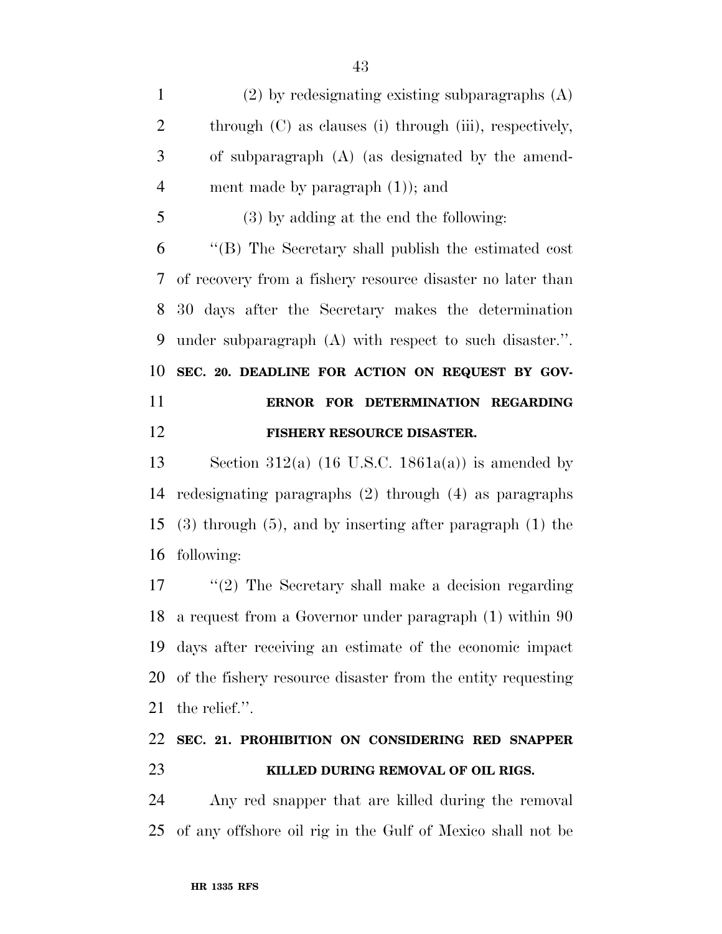(2) by redesignating existing subparagraphs (A) 2 through (C) as clauses (i) through (iii), respectively, of subparagraph (A) (as designated by the amend-4 ment made by paragraph  $(1)$ ; and (3) by adding at the end the following: ''(B) The Secretary shall publish the estimated cost of recovery from a fishery resource disaster no later than 30 days after the Secretary makes the determination under subparagraph (A) with respect to such disaster.''. **SEC. 20. DEADLINE FOR ACTION ON REQUEST BY GOV- ERNOR FOR DETERMINATION REGARDING FISHERY RESOURCE DISASTER.** 

13 Section 312(a) (16 U.S.C. 1861a(a)) is amended by redesignating paragraphs (2) through (4) as paragraphs (3) through (5), and by inserting after paragraph (1) the following:

 ''(2) The Secretary shall make a decision regarding a request from a Governor under paragraph (1) within 90 days after receiving an estimate of the economic impact of the fishery resource disaster from the entity requesting the relief.''.

## **SEC. 21. PROHIBITION ON CONSIDERING RED SNAPPER KILLED DURING REMOVAL OF OIL RIGS.**

 Any red snapper that are killed during the removal of any offshore oil rig in the Gulf of Mexico shall not be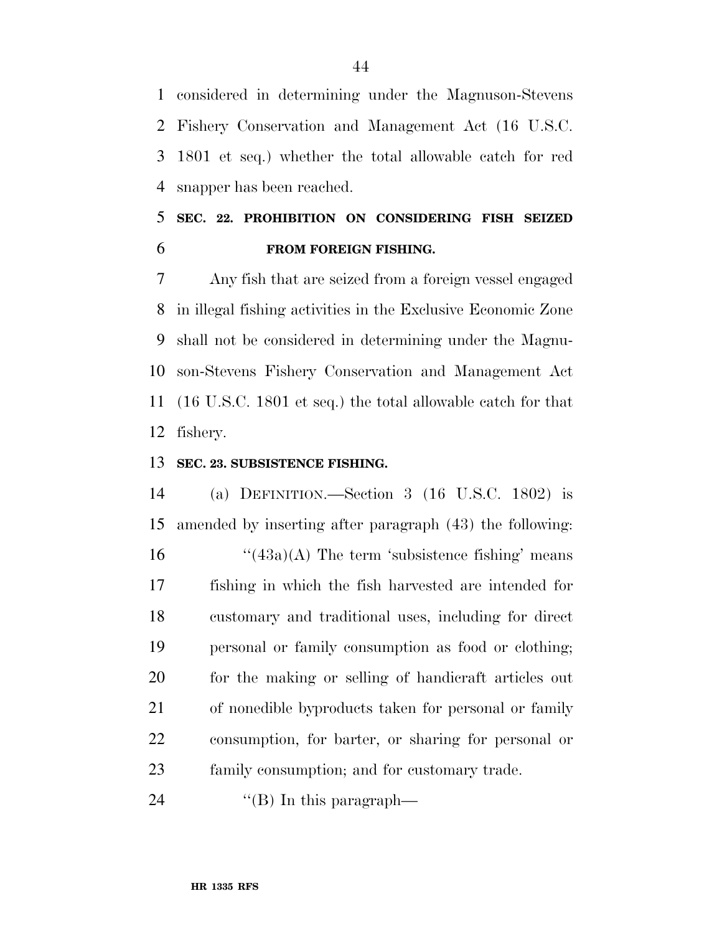considered in determining under the Magnuson-Stevens Fishery Conservation and Management Act (16 U.S.C. 1801 et seq.) whether the total allowable catch for red snapper has been reached.

## **SEC. 22. PROHIBITION ON CONSIDERING FISH SEIZED FROM FOREIGN FISHING.**

 Any fish that are seized from a foreign vessel engaged in illegal fishing activities in the Exclusive Economic Zone shall not be considered in determining under the Magnu- son-Stevens Fishery Conservation and Management Act (16 U.S.C. 1801 et seq.) the total allowable catch for that fishery.

#### **SEC. 23. SUBSISTENCE FISHING.**

 (a) DEFINITION.—Section 3 (16 U.S.C. 1802) is amended by inserting after paragraph (43) the following:  $\frac{43a}{A}$  The term 'subsistence fishing' means fishing in which the fish harvested are intended for customary and traditional uses, including for direct personal or family consumption as food or clothing; for the making or selling of handicraft articles out of nonedible byproducts taken for personal or family consumption, for barter, or sharing for personal or family consumption; and for customary trade.

24  $\text{``(B)}$  In this paragraph—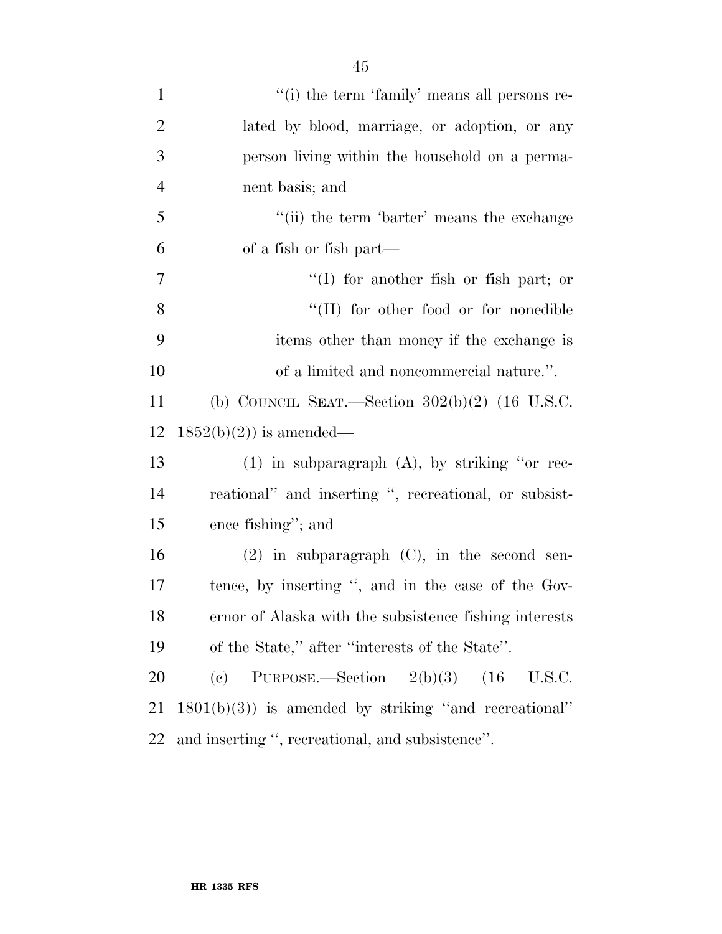| $\mathbf{1}$   | "(i) the term 'family' means all persons re-           |
|----------------|--------------------------------------------------------|
| $\overline{2}$ | lated by blood, marriage, or adoption, or any          |
| 3              | person living within the household on a perma-         |
| $\overline{4}$ | nent basis; and                                        |
| 5              | "(ii) the term 'barter' means the exchange             |
| 6              | of a fish or fish part—                                |
| 7              | $\lq(1)$ for another fish or fish part; or             |
| 8              | "(II) for other food or for nonedible                  |
| 9              | items other than money if the exchange is              |
| 10             | of a limited and noncommercial nature.".               |
| 11             | (b) COUNCIL SEAT.—Section $302(b)(2)$ (16 U.S.C.       |
| 12             | $1852(b)(2)$ is amended—                               |
| 13             | $(1)$ in subparagraph $(A)$ , by striking "or rec-     |
| 14             | reational" and inserting ", recreational, or subsist-  |
| 15             | ence fishing"; and                                     |
| 16             | $(2)$ in subparagraph $(C)$ , in the second sen-       |
| 17             | tence, by inserting ", and in the case of the Gov-     |
| 18             | ernor of Alaska with the subsistence fishing interests |
| 19             | of the State," after "interests of the State".         |
| 20             | PURPOSE.—Section $2(b)(3)$<br>(e)                      |
| 21             | $1801(b)(3)$ is amended by striking "and recreational" |
|                |                                                        |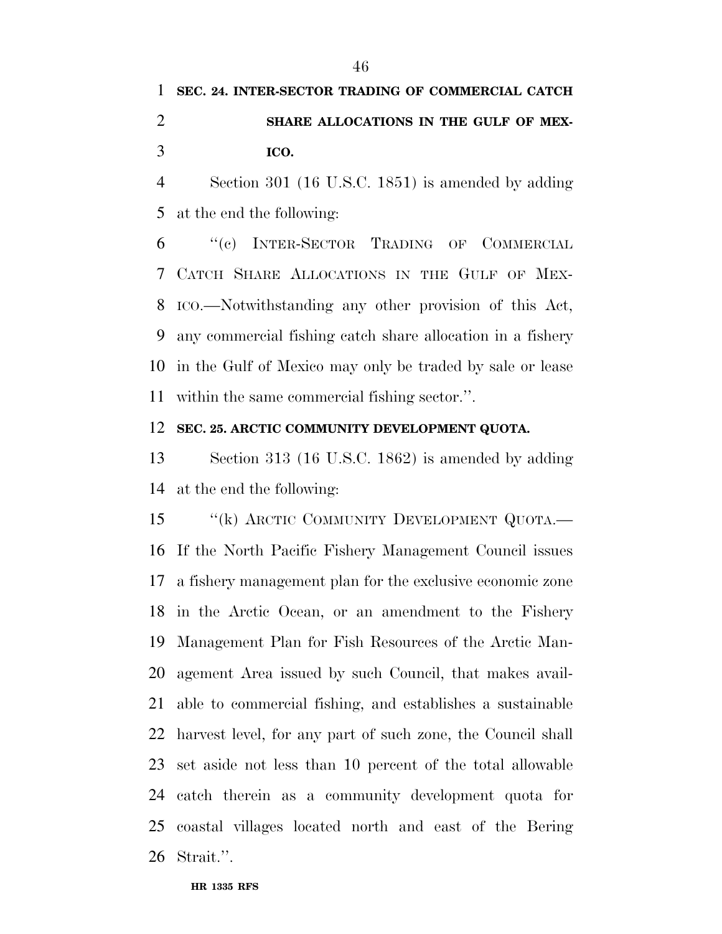## **SHARE ALLOCATIONS IN THE GULF OF MEX-ICO.**

 Section 301 (16 U.S.C. 1851) is amended by adding at the end the following:

 ''(c) INTER-SECTOR TRADING OF COMMERCIAL CATCH SHARE ALLOCATIONS IN THE GULF OF MEX- ICO.—Notwithstanding any other provision of this Act, any commercial fishing catch share allocation in a fishery in the Gulf of Mexico may only be traded by sale or lease within the same commercial fishing sector.''.

#### **SEC. 25. ARCTIC COMMUNITY DEVELOPMENT QUOTA.**

 Section 313 (16 U.S.C. 1862) is amended by adding at the end the following:

15 "(k) ARCTIC COMMUNITY DEVELOPMENT QUOTA.— If the North Pacific Fishery Management Council issues a fishery management plan for the exclusive economic zone in the Arctic Ocean, or an amendment to the Fishery Management Plan for Fish Resources of the Arctic Man- agement Area issued by such Council, that makes avail- able to commercial fishing, and establishes a sustainable harvest level, for any part of such zone, the Council shall set aside not less than 10 percent of the total allowable catch therein as a community development quota for coastal villages located north and east of the Bering Strait.''.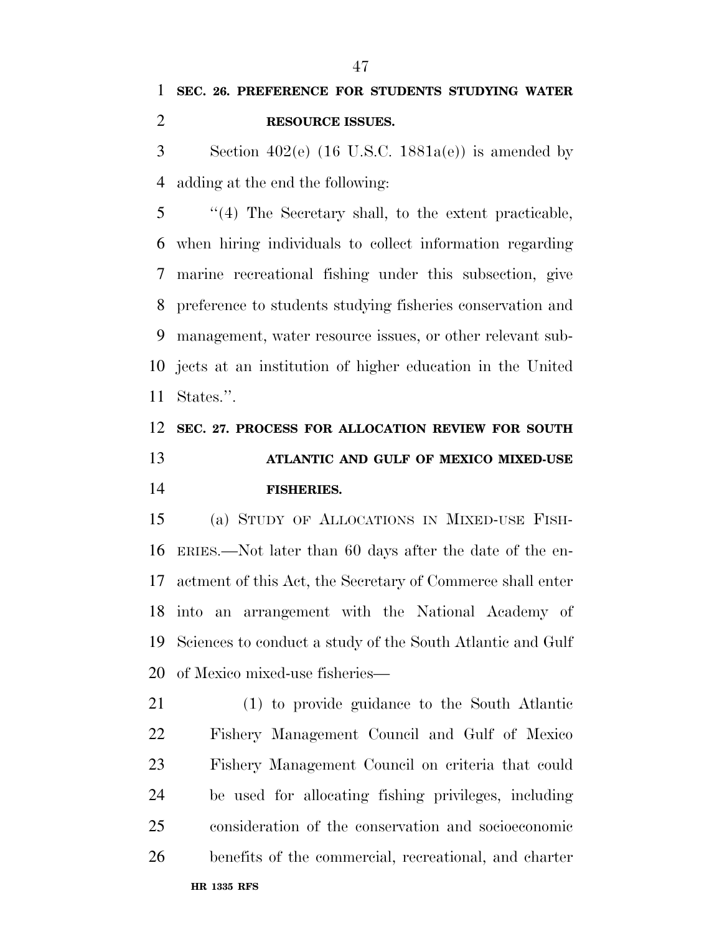3 Section  $402(e)$  (16 U.S.C. 1881a(e)) is amended by adding at the end the following:

 ''(4) The Secretary shall, to the extent practicable, when hiring individuals to collect information regarding marine recreational fishing under this subsection, give preference to students studying fisheries conservation and management, water resource issues, or other relevant sub- jects at an institution of higher education in the United States.''.

## **SEC. 27. PROCESS FOR ALLOCATION REVIEW FOR SOUTH ATLANTIC AND GULF OF MEXICO MIXED-USE FISHERIES.**

 (a) STUDY OF ALLOCATIONS IN MIXED-USE FISH- ERIES.—Not later than 60 days after the date of the en- actment of this Act, the Secretary of Commerce shall enter into an arrangement with the National Academy of Sciences to conduct a study of the South Atlantic and Gulf of Mexico mixed-use fisheries—

 (1) to provide guidance to the South Atlantic Fishery Management Council and Gulf of Mexico Fishery Management Council on criteria that could be used for allocating fishing privileges, including consideration of the conservation and socioeconomic benefits of the commercial, recreational, and charter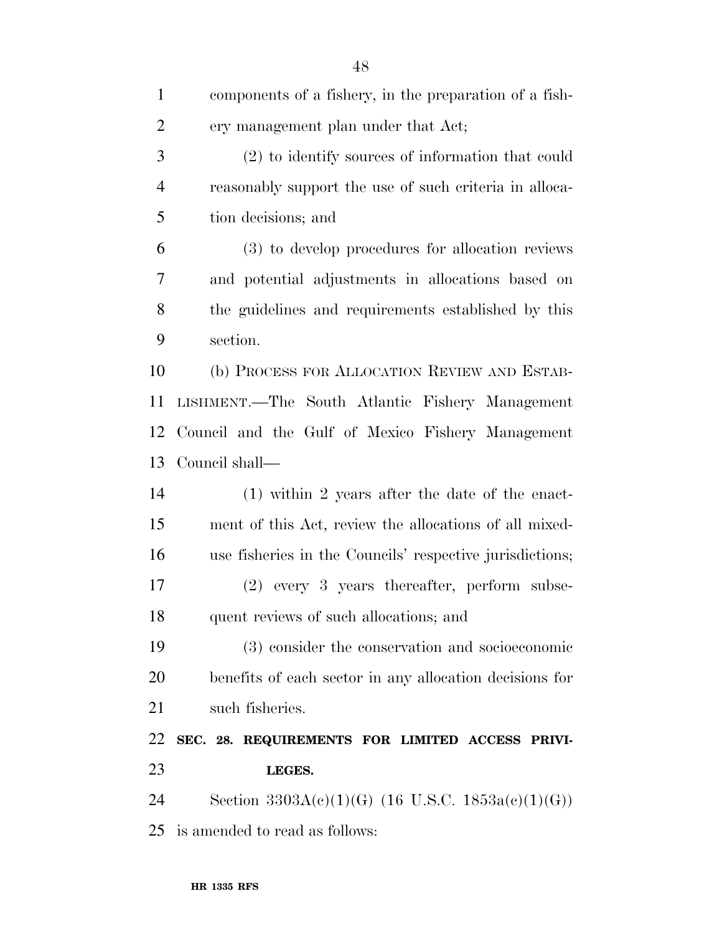| $\mathbf{1}$   | components of a fishery, in the preparation of a fish-   |
|----------------|----------------------------------------------------------|
| $\overline{2}$ | ery management plan under that Act;                      |
| 3              | (2) to identify sources of information that could        |
| $\overline{4}$ | reasonably support the use of such criteria in alloca-   |
| 5              | tion decisions; and                                      |
| 6              | (3) to develop procedures for allocation reviews         |
| 7              | and potential adjustments in allocations based on        |
| 8              | the guidelines and requirements established by this      |
| 9              | section.                                                 |
| 10             | (b) PROCESS FOR ALLOCATION REVIEW AND ESTAB-             |
| 11             | LISHMENT.—The South Atlantic Fishery Management          |
| 12             | Council and the Gulf of Mexico Fishery Management        |
| 13             | Council shall—                                           |
| 14             | $(1)$ within 2 years after the date of the enact-        |
| 15             | ment of this Act, review the allocations of all mixed-   |
| 16             | use fisheries in the Councils' respective jurisdictions; |
| 17             | (2) every 3 years thereafter, perform subse-             |
| 18             | quent reviews of such allocations; and                   |
| 19             | (3) consider the conservation and socioeconomic          |
| 20             | benefits of each sector in any allocation decisions for  |
| 21             | such fisheries.                                          |
| 22             | SEC. 28. REQUIREMENTS FOR LIMITED ACCESS PRIVI-          |
| 23             | LEGES.                                                   |
| 24             | Section $3303A(c)(1)(G)$ (16 U.S.C. $1853a(c)(1)(G)$ )   |
| 25             | is amended to read as follows:                           |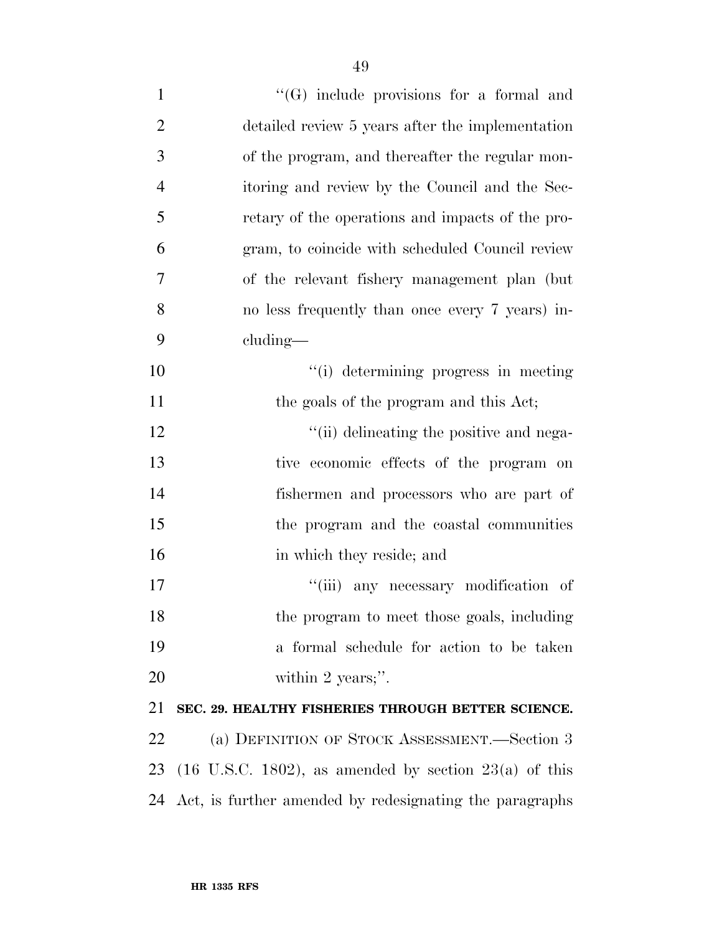| $\mathbf{1}$   | $\lq\lq(G)$ include provisions for a formal and                     |
|----------------|---------------------------------------------------------------------|
| $\overline{2}$ | detailed review 5 years after the implementation                    |
| 3              | of the program, and thereafter the regular mon-                     |
| $\overline{4}$ | itoring and review by the Council and the Sec-                      |
| 5              | retary of the operations and impacts of the pro-                    |
| 6              | gram, to coincide with scheduled Council review                     |
| 7              | of the relevant fishery management plan (but)                       |
| 8              | no less frequently than once every 7 years) in-                     |
| 9              | cluding—                                                            |
| 10             | "(i) determining progress in meeting                                |
| 11             | the goals of the program and this Act;                              |
| 12             | "(ii) delineating the positive and nega-                            |
| 13             | tive economic effects of the program on                             |
| 14             | fishermen and processors who are part of                            |
| 15             | the program and the coastal communities                             |
| 16             | in which they reside; and                                           |
| 17             | "(iii) any necessary modification of                                |
| 18             | the program to meet those goals, including                          |
| 19             | a formal schedule for action to be taken                            |
| 20             | within 2 years;".                                                   |
| 21             | SEC. 29. HEALTHY FISHERIES THROUGH BETTER SCIENCE.                  |
| 22             | (a) DEFINITION OF STOCK ASSESSMENT.—Section 3                       |
| 23             | $(16 \text{ U.S.C. } 1802)$ , as amended by section $23(a)$ of this |
| 24             | Act, is further amended by redesignating the paragraphs             |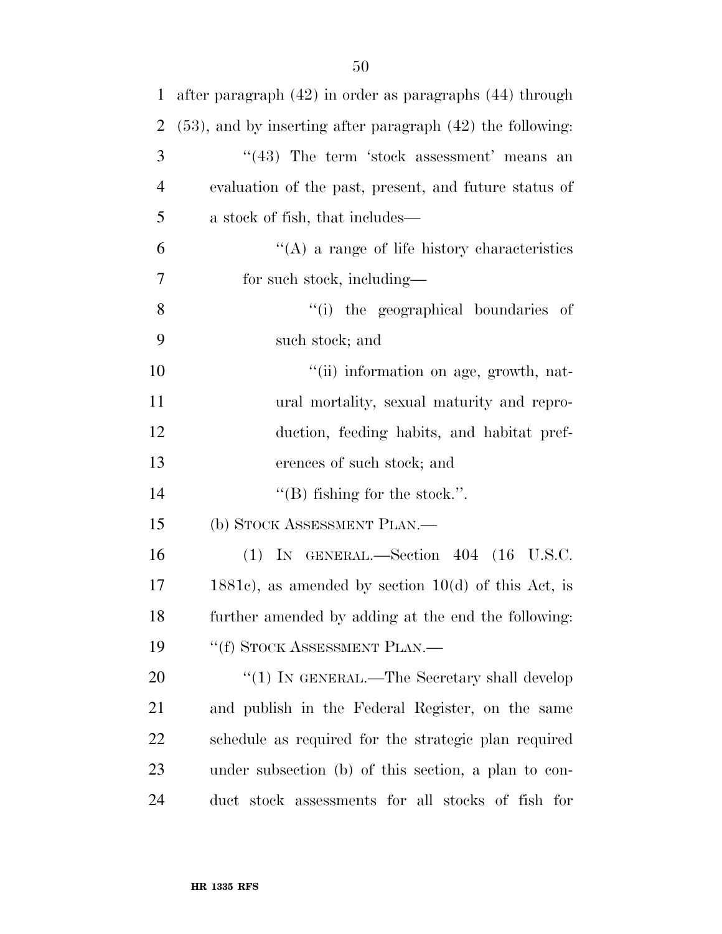| $\mathbf{1}$   | after paragraph $(42)$ in order as paragraphs $(44)$ through    |
|----------------|-----------------------------------------------------------------|
| $\overline{2}$ | $(53)$ , and by inserting after paragraph $(42)$ the following: |
| 3              | $((43)$ The term 'stock assessment' means an                    |
| $\overline{4}$ | evaluation of the past, present, and future status of           |
| 5              | a stock of fish, that includes—                                 |
| 6              | $\lq\lq$ a range of life history characteristics                |
| 7              | for such stock, including—                                      |
| 8              | "(i) the geographical boundaries of                             |
| 9              | such stock; and                                                 |
| 10             | "(ii) information on age, growth, nat-                          |
| 11             | ural mortality, sexual maturity and repro-                      |
| 12             | duction, feeding habits, and habitat pref-                      |
| 13             | erences of such stock; and                                      |
| 14             | $\lq$ (B) fishing for the stock.".                              |
| 15             | (b) STOCK ASSESSMENT PLAN.—                                     |
| 16             | $(1)$ IN GENERAL.—Section 404 $(16 \text{ U.S.C.})$             |
| 17             | $1881c$ , as amended by section $10(d)$ of this Act, is         |
| 18             | further amended by adding at the end the following:             |
| 19             | "(f) STOCK ASSESSMENT PLAN.—                                    |
| 20             | "(1) IN GENERAL.—The Secretary shall develop                    |
| 21             | and publish in the Federal Register, on the same                |
| 22             | schedule as required for the strategic plan required            |
| 23             | under subsection (b) of this section, a plan to con-            |
| 24             | duct stock assessments for all stocks of fish for               |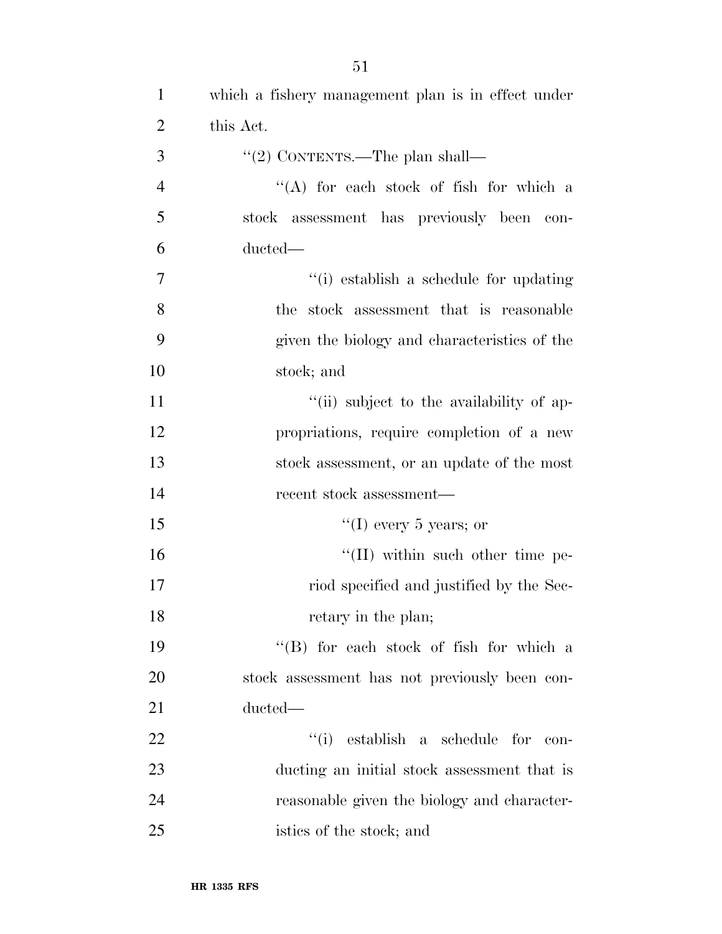| $\overline{2}$ | this Act.                                     |
|----------------|-----------------------------------------------|
| 3              | "(2) CONTENTS.—The plan shall—                |
| $\overline{4}$ | "(A) for each stock of fish for which a       |
| 5              | stock assessment has previously been con-     |
| 6              | ducted—                                       |
| $\overline{7}$ | "(i) establish a schedule for updating        |
| 8              | the stock assessment that is reasonable       |
| 9              | given the biology and characteristics of the  |
| 10             | stock; and                                    |
| 11             | "(ii) subject to the availability of ap-      |
| 12             | propriations, require completion of a new     |
| 13             | stock assessment, or an update of the most    |
| 14             | recent stock assessment—                      |
| 15             | "(I) every 5 years; or                        |
| 16             | $\lq\lq$ (II) within such other time pe-      |
| 17             | riod specified and justified by the Sec-      |
| 18             | retary in the plan;                           |
| 19             | $\lq\lq$ for each stock of fish for which a   |
| 20             | stock assessment has not previously been con- |
| 21             | ducted—                                       |
| 22             | "(i) establish a schedule for con-            |
| 23             | ducting an initial stock assessment that is   |
| 24             | reasonable given the biology and character-   |
| 25             | istics of the stock; and                      |

which a fishery management plan is in effect under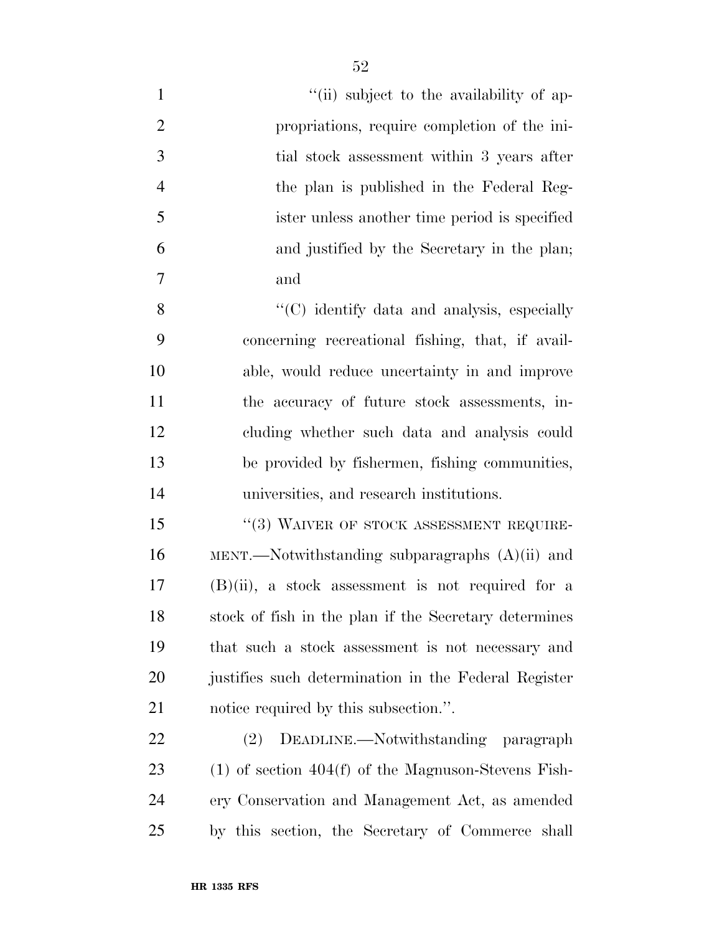| $\mathbf{1}$   | "(ii) subject to the availability of ap-              |
|----------------|-------------------------------------------------------|
| $\overline{2}$ | propriations, require completion of the ini-          |
| 3              | tial stock assessment within 3 years after            |
| $\overline{4}$ | the plan is published in the Federal Reg-             |
| 5              | ister unless another time period is specified         |
| 6              | and justified by the Secretary in the plan;           |
| 7              | and                                                   |
| 8              | "(C) identify data and analysis, especially           |
| 9              | concerning recreational fishing, that, if avail-      |
| 10             | able, would reduce uncertainty in and improve         |
| 11             | the accuracy of future stock assessments, in-         |
| 12             | cluding whether such data and analysis could          |
| 13             | be provided by fishermen, fishing communities,        |
| 14             | universities, and research institutions.              |
| 15             | $``(3)$ WAIVER OF STOCK ASSESSMENT REQUIRE-           |
| 16             | MENT.—Notwithstanding subparagraphs $(A)(ii)$ and     |
| 17             | $(B)(ii)$ , a stock assessment is not required for a  |
| 18             | stock of fish in the plan if the Secretary determines |
| 19             | that such a stock assessment is not necessary and     |
| 20             | justifies such determination in the Federal Register  |
| 21             | notice required by this subsection.".                 |
| 22             | DEADLINE.—Notwithstanding paragraph<br>(2)            |
| 23             | $(1)$ of section 404(f) of the Magnuson-Stevens Fish- |
| 24             | ery Conservation and Management Act, as amended       |
| 25             | by this section, the Secretary of Commerce<br>shall   |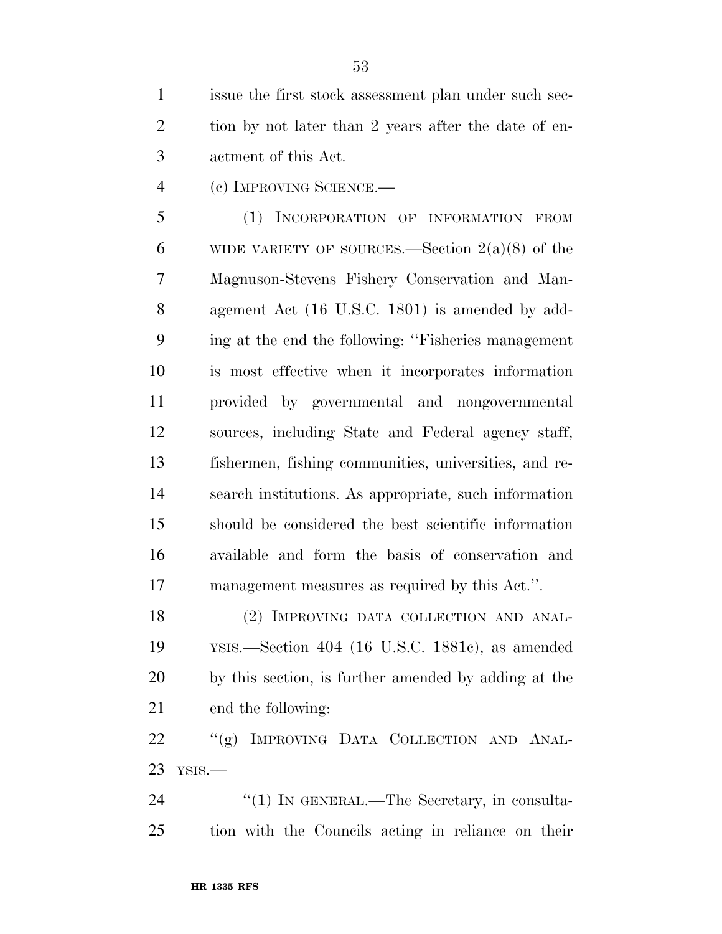issue the first stock assessment plan under such sec-2 tion by not later than 2 years after the date of en-actment of this Act.

(c) IMPROVING SCIENCE.—

 (1) INCORPORATION OF INFORMATION FROM 6 WIDE VARIETY OF SOURCES.—Section  $2(a)(8)$  of the Magnuson-Stevens Fishery Conservation and Man- agement Act (16 U.S.C. 1801) is amended by add- ing at the end the following: ''Fisheries management is most effective when it incorporates information provided by governmental and nongovernmental sources, including State and Federal agency staff, fishermen, fishing communities, universities, and re- search institutions. As appropriate, such information should be considered the best scientific information available and form the basis of conservation and management measures as required by this Act.''.

18 (2) IMPROVING DATA COLLECTION AND ANAL- YSIS.—Section 404 (16 U.S.C. 1881c), as amended by this section, is further amended by adding at the end the following:

22 "(g) IMPROVING DATA COLLECTION AND ANAL-YSIS.—

24 "(1) IN GENERAL.—The Secretary, in consulta-tion with the Councils acting in reliance on their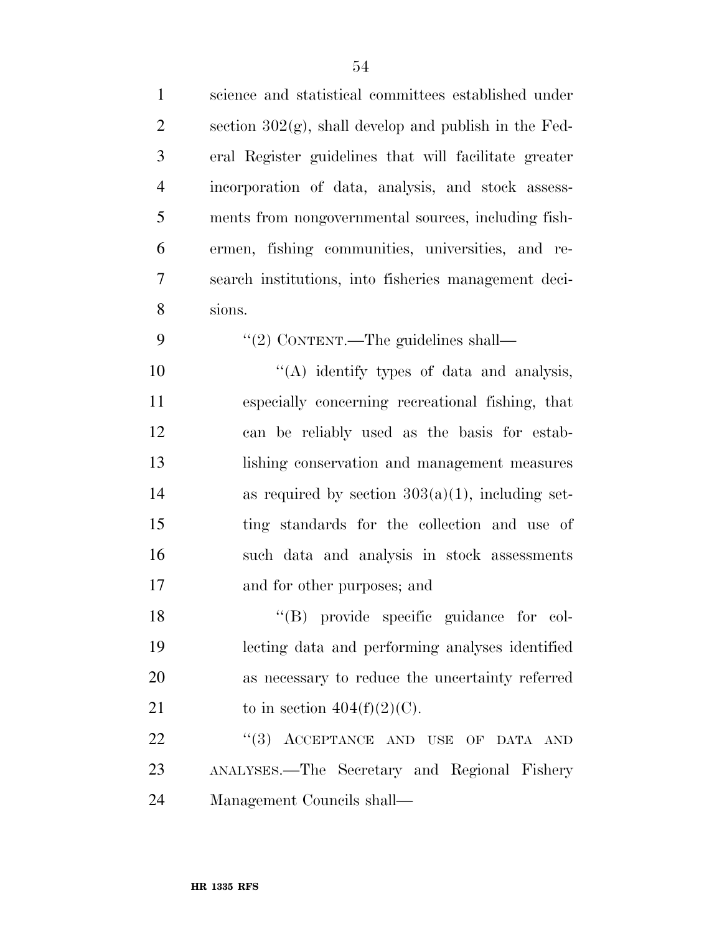| $\mathbf{1}$   | science and statistical committees established under     |
|----------------|----------------------------------------------------------|
| $\overline{2}$ | section $302(g)$ , shall develop and publish in the Fed- |
| 3              | eral Register guidelines that will facilitate greater    |
| $\overline{4}$ | incorporation of data, analysis, and stock assess-       |
| 5              | ments from nongovernmental sources, including fish-      |
| 6              | ermen, fishing communities, universities, and re-        |
| 7              | search institutions, into fisheries management deci-     |
| 8              | sions.                                                   |
| 9              | "(2) CONTENT.—The guidelines shall—                      |
| 10             | "(A) identify types of data and analysis,                |
| 11             | especially concerning recreational fishing, that         |
| 12             | can be reliably used as the basis for estab-             |
| 13             | lishing conservation and management measures             |
| 14             | as required by section $303(a)(1)$ , including set-      |
| 15             | ting standards for the collection and use of             |
| 16             | such data and analysis in stock assessments              |
| 17             | and for other purposes; and                              |
| 18             | "(B) provide specific guidance for col-                  |
| 19             | lecting data and performing analyses identified          |
| 20             | as necessary to reduce the uncertainty referred          |
| 21             | to in section $404(f)(2)(C)$ .                           |
| 22             | "(3) ACCEPTANCE AND USE OF DATA AND                      |
| 23             | ANALYSES.-The Secretary and Regional Fishery             |
| 24             | Management Councils shall-                               |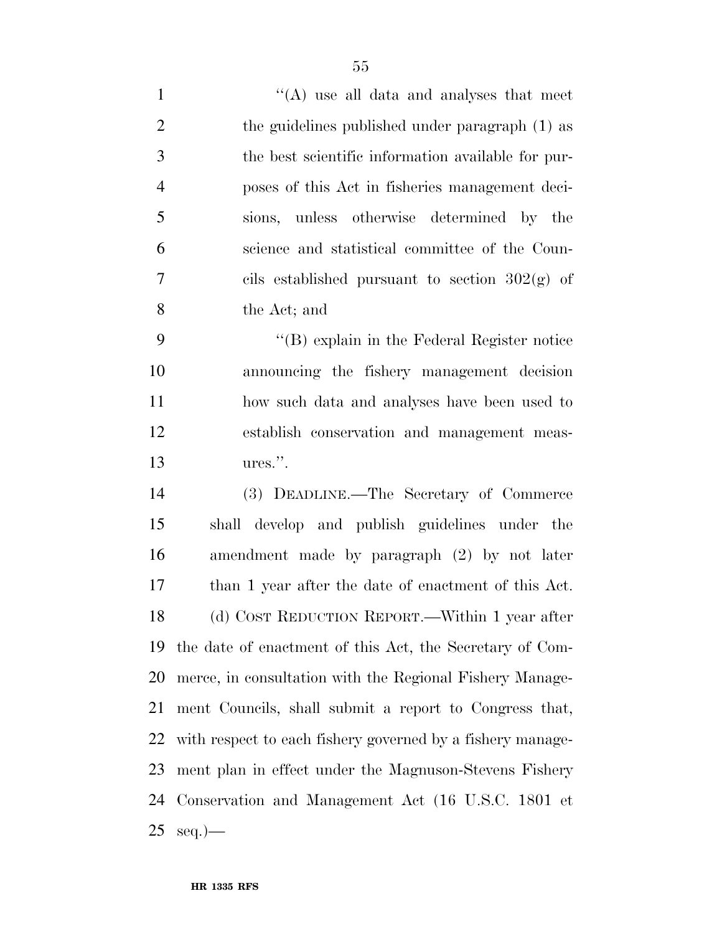| $\mathbf{1}$   | $\lq\lq$ use all data and analyses that meet               |
|----------------|------------------------------------------------------------|
| $\overline{2}$ | the guidelines published under paragraph (1) as            |
| 3              | the best scientific information available for pur-         |
| $\overline{4}$ | poses of this Act in fisheries management deci-            |
| 5              | sions, unless otherwise determined by the                  |
| 6              | science and statistical committee of the Coun-             |
| $\overline{7}$ | cils established pursuant to section $302(g)$ of           |
| 8              | the Act; and                                               |
| 9              | $\lq\lq (B)$ explain in the Federal Register notice        |
| 10             | announcing the fishery management decision                 |
| 11             | how such data and analyses have been used to               |
| 12             | establish conservation and management meas-                |
| 13             | ures.".                                                    |
| 14             | (3) DEADLINE.—The Secretary of Commerce                    |
| 15             | shall develop and publish guidelines under the             |
| 16             | amendment made by paragraph (2) by not later               |
| 17             | than 1 year after the date of enactment of this Act.       |
| 18             | (d) COST REDUCTION REPORT.—Within 1 year after             |
| 19             | the date of enactment of this Act, the Secretary of Com-   |
| 20             | merce, in consultation with the Regional Fishery Manage-   |
| 21             | ment Councils, shall submit a report to Congress that,     |
| 22             | with respect to each fishery governed by a fishery manage- |
| 23             | ment plan in effect under the Magnuson-Stevens Fishery     |
|                | 24 Conservation and Management Act (16 U.S.C. 1801 et      |
| 25             | $seq.$ )                                                   |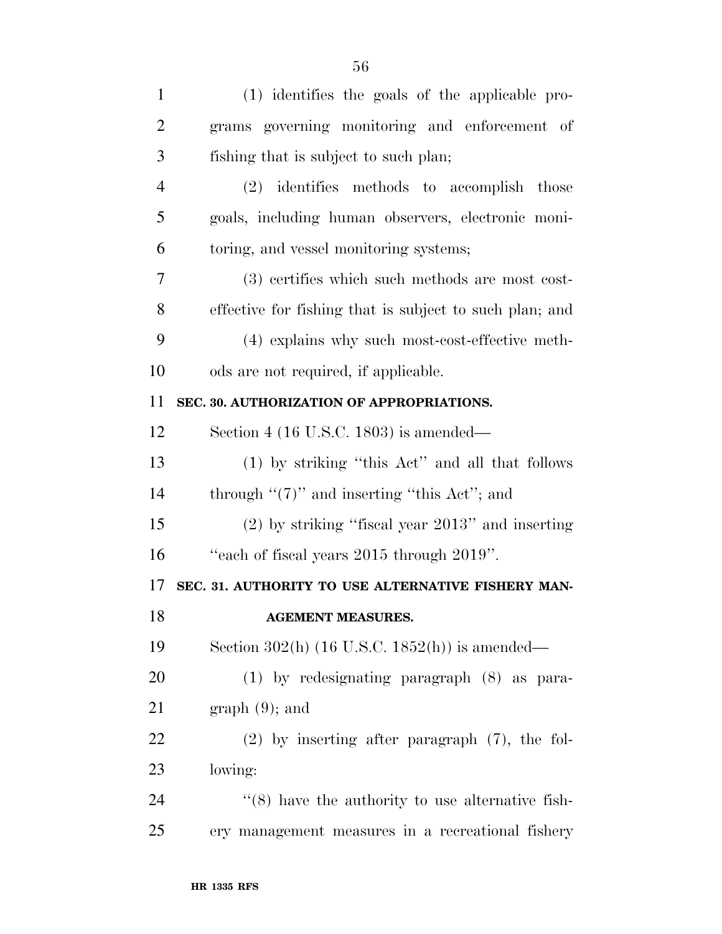| $\mathbf{1}$   | (1) identifies the goals of the applicable pro-              |
|----------------|--------------------------------------------------------------|
| $\overline{2}$ | grams governing monitoring and enforcement of                |
| 3              | fishing that is subject to such plan;                        |
| $\overline{4}$ | (2) identifies methods to accomplish those                   |
| 5              | goals, including human observers, electronic moni-           |
| 6              | toring, and vessel monitoring systems;                       |
| 7              | (3) certifies which such methods are most cost-              |
| 8              | effective for fishing that is subject to such plan; and      |
| 9              | (4) explains why such most-cost-effective meth-              |
| 10             | ods are not required, if applicable.                         |
| 11             | SEC. 30. AUTHORIZATION OF APPROPRIATIONS.                    |
| 12             | Section 4 (16 U.S.C. 1803) is amended—                       |
| 13             | (1) by striking "this Act" and all that follows              |
| 14             | through " $(7)$ " and inserting "this Act"; and              |
| 15             | $(2)$ by striking "fiscal year $2013$ " and inserting        |
| 16             | "each of fiscal years 2015 through 2019".                    |
| 17             | SEC. 31. AUTHORITY TO USE ALTERNATIVE FISHERY MAN-           |
| 18             | <b>AGEMENT MEASURES.</b>                                     |
| 19             | Section 302(h) $(16$ U.S.C. $1852(h)$ is amended—            |
| 20             | $(1)$ by redesignating paragraph $(8)$ as para-              |
| 21             | $graph(9)$ ; and                                             |
| 22             | $(2)$ by inserting after paragraph $(7)$ , the fol-          |
| 23             | lowing:                                                      |
| 24             | $\cdot\cdot$ (8) have the authority to use alternative fish- |
|                |                                                              |